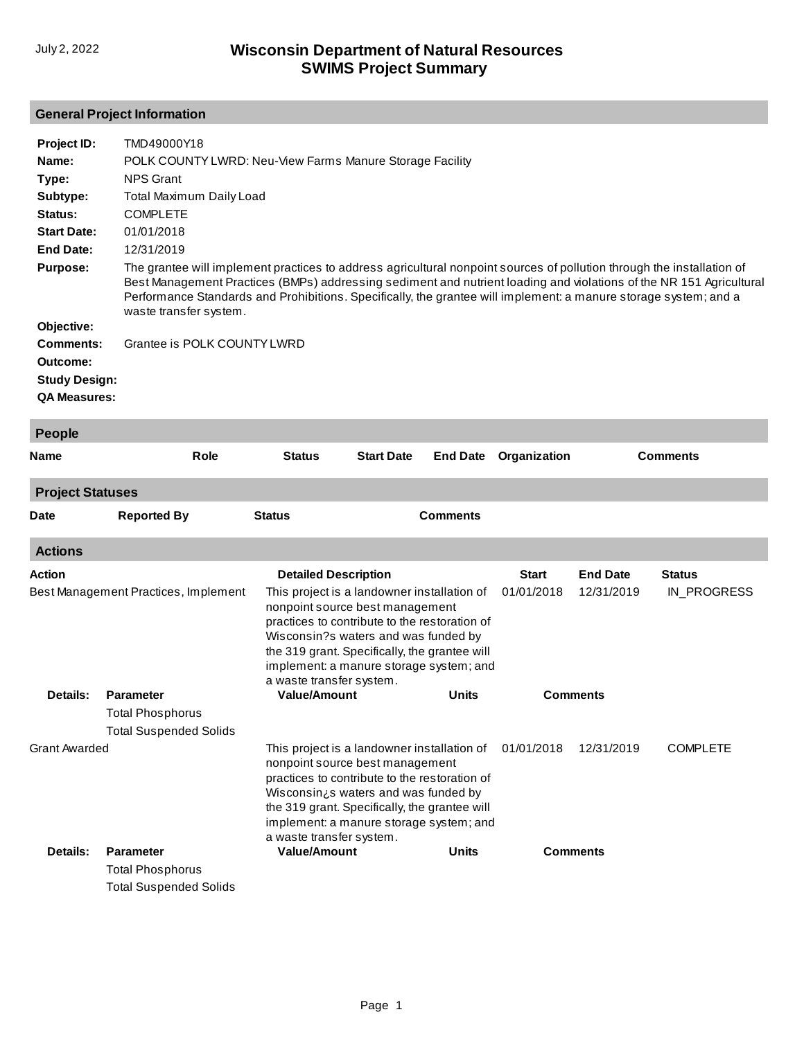# **General Project Information**

| Project ID:<br>Name:<br>Type:<br>Subtype: | TMD49000Y18<br>POLK COUNTY LWRD: Neu-View Farms Manure Storage Facility<br><b>NPS Grant</b><br>Total Maximum Daily Load                                                                                                                                                                                                                                                                     |
|-------------------------------------------|---------------------------------------------------------------------------------------------------------------------------------------------------------------------------------------------------------------------------------------------------------------------------------------------------------------------------------------------------------------------------------------------|
| Status:                                   | <b>COMPLETE</b>                                                                                                                                                                                                                                                                                                                                                                             |
| <b>Start Date:</b>                        | 01/01/2018                                                                                                                                                                                                                                                                                                                                                                                  |
| End Date:                                 | 12/31/2019                                                                                                                                                                                                                                                                                                                                                                                  |
| <b>Purpose:</b>                           | The grantee will implement practices to address agricultural nonpoint sources of pollution through the installation of<br>Best Management Practices (BMPs) addressing sediment and nutrient loading and violations of the NR 151 Agricultural<br>Performance Standards and Prohibitions. Specifically, the grantee will implement: a manure storage system; and a<br>waste transfer system. |
| Objective:                                |                                                                                                                                                                                                                                                                                                                                                                                             |
| Comments:                                 | Grantee is POLK COUNTY LWRD                                                                                                                                                                                                                                                                                                                                                                 |
| Outcome:                                  |                                                                                                                                                                                                                                                                                                                                                                                             |
| <b>Study Design:</b>                      |                                                                                                                                                                                                                                                                                                                                                                                             |
| <b>QA Measures:</b>                       |                                                                                                                                                                                                                                                                                                                                                                                             |
|                                           |                                                                                                                                                                                                                                                                                                                                                                                             |

| <b>People</b>           |                                      |                                                                                                                                                                                                                                                                                                              |                                             |                 |              |                 |                 |
|-------------------------|--------------------------------------|--------------------------------------------------------------------------------------------------------------------------------------------------------------------------------------------------------------------------------------------------------------------------------------------------------------|---------------------------------------------|-----------------|--------------|-----------------|-----------------|
| <b>Name</b>             | Role                                 | <b>Status</b>                                                                                                                                                                                                                                                                                                | <b>Start Date</b>                           | <b>End Date</b> | Organization |                 | <b>Comments</b> |
| <b>Project Statuses</b> |                                      |                                                                                                                                                                                                                                                                                                              |                                             |                 |              |                 |                 |
| <b>Date</b>             | <b>Reported By</b>                   | <b>Status</b>                                                                                                                                                                                                                                                                                                |                                             | <b>Comments</b> |              |                 |                 |
| <b>Actions</b>          |                                      |                                                                                                                                                                                                                                                                                                              |                                             |                 |              |                 |                 |
| Action                  |                                      | <b>Detailed Description</b>                                                                                                                                                                                                                                                                                  |                                             |                 | <b>Start</b> | <b>End Date</b> | <b>Status</b>   |
|                         | Best Management Practices, Implement | nonpoint source best management<br>practices to contribute to the restoration of<br>Wisconsin?s waters and was funded by<br>the 319 grant. Specifically, the grantee will<br>implement: a manure storage system; and<br>a waste transfer system.                                                             | This project is a landowner installation of |                 | 01/01/2018   | 12/31/2019      | IN PROGRESS     |
| Details:                | <b>Parameter</b>                     | <b>Value/Amount</b>                                                                                                                                                                                                                                                                                          |                                             | <b>Units</b>    |              | <b>Comments</b> |                 |
|                         | <b>Total Phosphorus</b>              |                                                                                                                                                                                                                                                                                                              |                                             |                 |              |                 |                 |
|                         | <b>Total Suspended Solids</b>        |                                                                                                                                                                                                                                                                                                              |                                             |                 |              |                 |                 |
| <b>Grant Awarded</b>    |                                      | This project is a landowner installation of<br>nonpoint source best management<br>practices to contribute to the restoration of<br>Wisconsin <sub>i</sub> s waters and was funded by<br>the 319 grant. Specifically, the grantee will<br>implement: a manure storage system; and<br>a waste transfer system. |                                             |                 | 01/01/2018   | 12/31/2019      | <b>COMPLETE</b> |
| Details:                | <b>Parameter</b>                     | <b>Value/Amount</b>                                                                                                                                                                                                                                                                                          |                                             | <b>Units</b>    |              | <b>Comments</b> |                 |
|                         | <b>Total Phosphorus</b>              |                                                                                                                                                                                                                                                                                                              |                                             |                 |              |                 |                 |
|                         | <b>Total Suspended Solids</b>        |                                                                                                                                                                                                                                                                                                              |                                             |                 |              |                 |                 |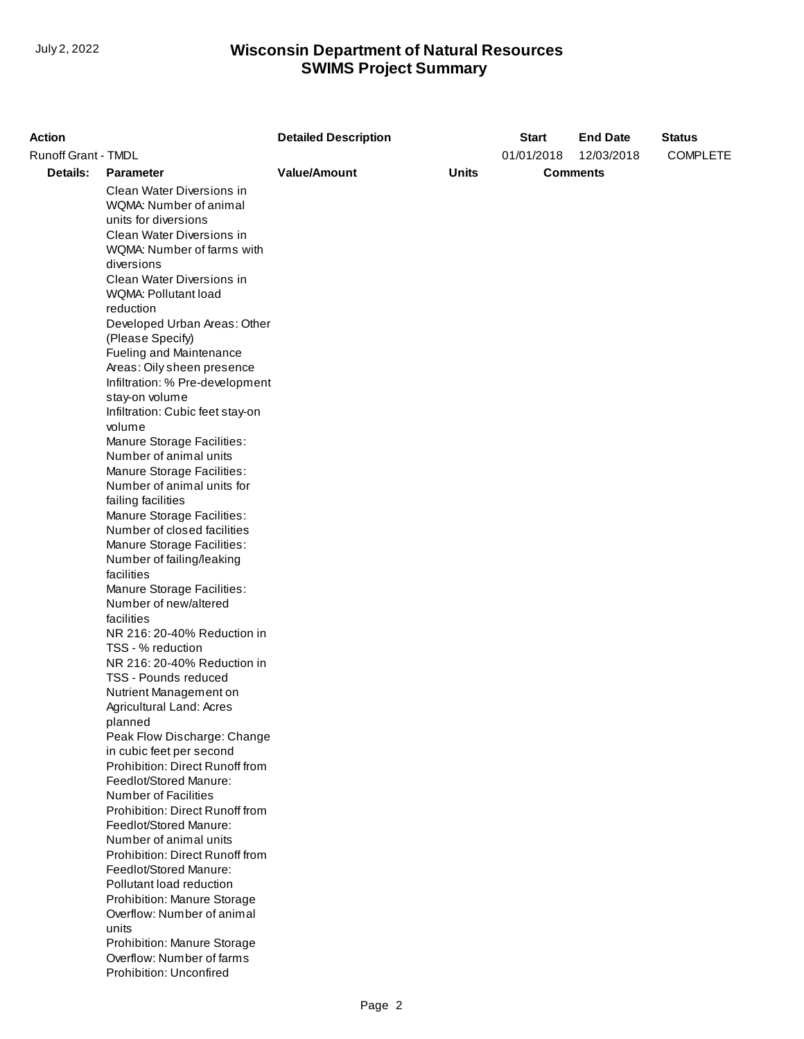| <b>Action</b>       |                                                                                                                                                                                                                                                                                                                                                                                                                                                                                                                                                                                                                                                                                                                                                                                                                                                                                                                                                                                                                                                                              | <b>Detailed Description</b> |              | <b>Start</b> | <b>End Date</b> | <b>Status</b>   |
|---------------------|------------------------------------------------------------------------------------------------------------------------------------------------------------------------------------------------------------------------------------------------------------------------------------------------------------------------------------------------------------------------------------------------------------------------------------------------------------------------------------------------------------------------------------------------------------------------------------------------------------------------------------------------------------------------------------------------------------------------------------------------------------------------------------------------------------------------------------------------------------------------------------------------------------------------------------------------------------------------------------------------------------------------------------------------------------------------------|-----------------------------|--------------|--------------|-----------------|-----------------|
| Runoff Grant - TMDL |                                                                                                                                                                                                                                                                                                                                                                                                                                                                                                                                                                                                                                                                                                                                                                                                                                                                                                                                                                                                                                                                              |                             |              | 01/01/2018   | 12/03/2018      | <b>COMPLETE</b> |
| <b>Details:</b>     | <b>Parameter</b>                                                                                                                                                                                                                                                                                                                                                                                                                                                                                                                                                                                                                                                                                                                                                                                                                                                                                                                                                                                                                                                             | <b>Value/Amount</b>         | <b>Units</b> |              | <b>Comments</b> |                 |
|                     | Clean Water Diversions in<br>WQMA: Number of animal<br>units for diversions<br>Clean Water Diversions in<br>WQMA: Number of farms with<br>diversions<br>Clean Water Diversions in<br>WQMA: Pollutant load<br>reduction<br>Developed Urban Areas: Other<br>(Please Specify)<br>Fueling and Maintenance<br>Areas: Oily sheen presence<br>Infiltration: % Pre-development<br>stay-on volume<br>Infiltration: Cubic feet stay-on<br>volume<br>Manure Storage Facilities:<br>Number of animal units<br>Manure Storage Facilities:<br>Number of animal units for<br>failing facilities<br>Manure Storage Facilities:<br>Number of closed facilities<br>Manure Storage Facilities:<br>Number of failing/leaking<br>facilities<br>Manure Storage Facilities:<br>Number of new/altered<br>facilities<br>NR 216: 20-40% Reduction in<br>TSS - % reduction<br>NR 216: 20-40% Reduction in<br><b>TSS - Pounds reduced</b><br>Nutrient Management on<br>Agricultural Land: Acres<br>planned<br>Peak Flow Discharge: Change<br>in cubic feet per second<br>Prohibition: Direct Runoff from |                             |              |              |                 |                 |
|                     |                                                                                                                                                                                                                                                                                                                                                                                                                                                                                                                                                                                                                                                                                                                                                                                                                                                                                                                                                                                                                                                                              |                             |              |              |                 |                 |
|                     | Feedlot/Stored Manure:<br><b>Number of Facilities</b><br>Prohibition: Direct Runoff from                                                                                                                                                                                                                                                                                                                                                                                                                                                                                                                                                                                                                                                                                                                                                                                                                                                                                                                                                                                     |                             |              |              |                 |                 |
|                     | Feedlot/Stored Manure:<br>Number of animal units<br>Prohibition: Direct Runoff from<br>Feedlot/Stored Manure:<br>Pollutant load reduction<br>Prohibition: Manure Storage<br>Overflow: Number of animal<br>units                                                                                                                                                                                                                                                                                                                                                                                                                                                                                                                                                                                                                                                                                                                                                                                                                                                              |                             |              |              |                 |                 |
|                     | Prohibition: Manure Storage<br>Overflow: Number of farms<br>Prohibition: Unconfired                                                                                                                                                                                                                                                                                                                                                                                                                                                                                                                                                                                                                                                                                                                                                                                                                                                                                                                                                                                          |                             |              |              |                 |                 |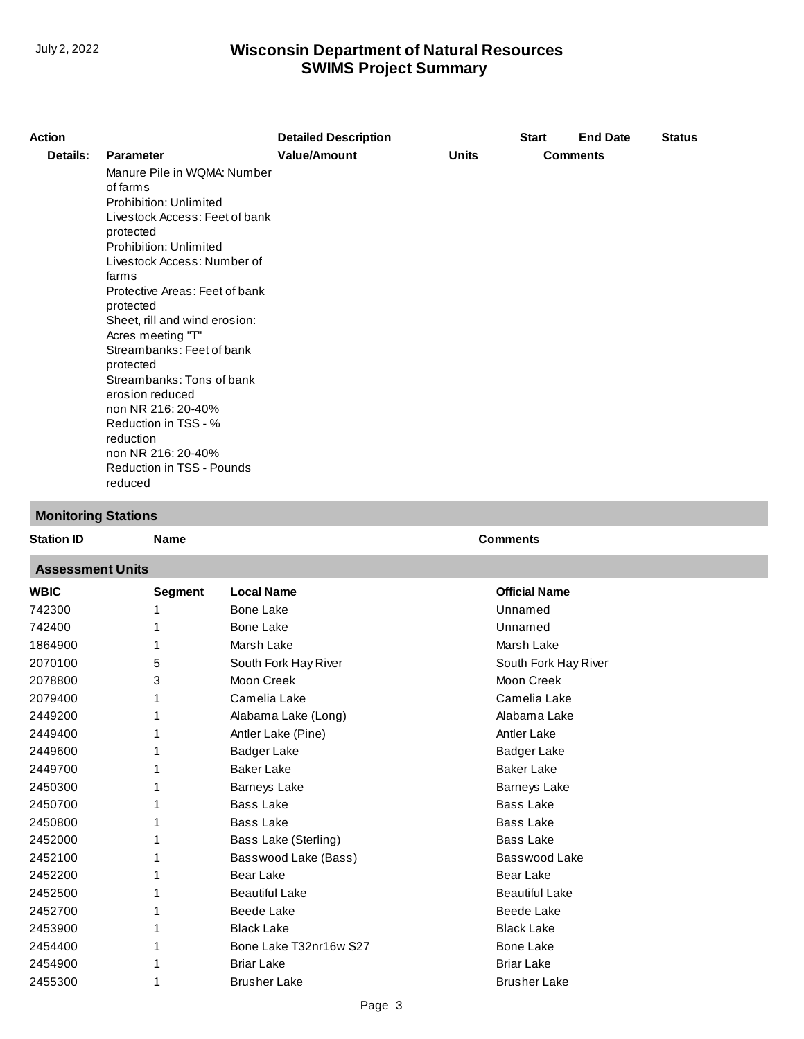| <b>Action</b> |                                                                                                                                                                                                                                                                                                                                                                                                                                              | <b>Detailed Description</b> |              | <b>Start</b> | <b>End Date</b> | <b>Status</b> |
|---------------|----------------------------------------------------------------------------------------------------------------------------------------------------------------------------------------------------------------------------------------------------------------------------------------------------------------------------------------------------------------------------------------------------------------------------------------------|-----------------------------|--------------|--------------|-----------------|---------------|
| Details:      | <b>Parameter</b>                                                                                                                                                                                                                                                                                                                                                                                                                             | <b>Value/Amount</b>         | <b>Units</b> |              | <b>Comments</b> |               |
|               | Manure Pile in WQMA: Number<br>of farms<br>Prohibition: Unlimited<br>Livestock Access: Feet of bank<br>protected<br>Prohibition: Unlimited<br>Livestock Access: Number of<br>farms<br>Protective Areas: Feet of bank<br>protected<br>Sheet, rill and wind erosion:<br>Acres meeting "T"<br>Streambanks: Feet of bank<br>protected<br>Streambanks: Tons of bank<br>erosion reduced<br>non NR 216: 20-40%<br>Reduction in TSS - %<br>reduction |                             |              |              |                 |               |
|               | non NR 216: 20-40%                                                                                                                                                                                                                                                                                                                                                                                                                           |                             |              |              |                 |               |
|               | <b>Reduction in TSS - Pounds</b><br>reduced                                                                                                                                                                                                                                                                                                                                                                                                  |                             |              |              |                 |               |

**Name Comments** 

# **Monitoring Stations**

#### **Assessment Units**

| <b>WBIC</b> | Segment | <b>Local Name</b>      | <b>Official Name</b>  |
|-------------|---------|------------------------|-----------------------|
| 742300      |         | <b>Bone Lake</b>       | Unnamed               |
| 742400      |         | <b>Bone Lake</b>       | Unnamed               |
| 1864900     |         | Marsh Lake             | Marsh Lake            |
| 2070100     | 5       | South Fork Hay River   | South Fork Hay River  |
| 2078800     | 3       | Moon Creek             | Moon Creek            |
| 2079400     |         | Camelia Lake           | Camelia Lake          |
| 2449200     |         | Alabama Lake (Long)    | Alabama Lake          |
| 2449400     |         | Antler Lake (Pine)     | Antler Lake           |
| 2449600     |         | <b>Badger Lake</b>     | Badger Lake           |
| 2449700     |         | <b>Baker Lake</b>      | <b>Baker Lake</b>     |
| 2450300     |         | <b>Barneys Lake</b>    | Barneys Lake          |
| 2450700     |         | <b>Bass Lake</b>       | <b>Bass Lake</b>      |
| 2450800     |         | <b>Bass Lake</b>       | <b>Bass Lake</b>      |
| 2452000     |         | Bass Lake (Sterling)   | <b>Bass Lake</b>      |
| 2452100     |         | Basswood Lake (Bass)   | Basswood Lake         |
| 2452200     |         | Bear Lake              | <b>Bear Lake</b>      |
| 2452500     |         | <b>Beautiful Lake</b>  | <b>Beautiful Lake</b> |
| 2452700     |         | Beede Lake             | Beede Lake            |
| 2453900     |         | <b>Black Lake</b>      | <b>Black Lake</b>     |
| 2454400     |         | Bone Lake T32nr16w S27 | <b>Bone Lake</b>      |
| 2454900     |         | <b>Briar Lake</b>      | <b>Briar Lake</b>     |
| 2455300     |         | <b>Brusher Lake</b>    | <b>Brusher Lake</b>   |
|             |         |                        |                       |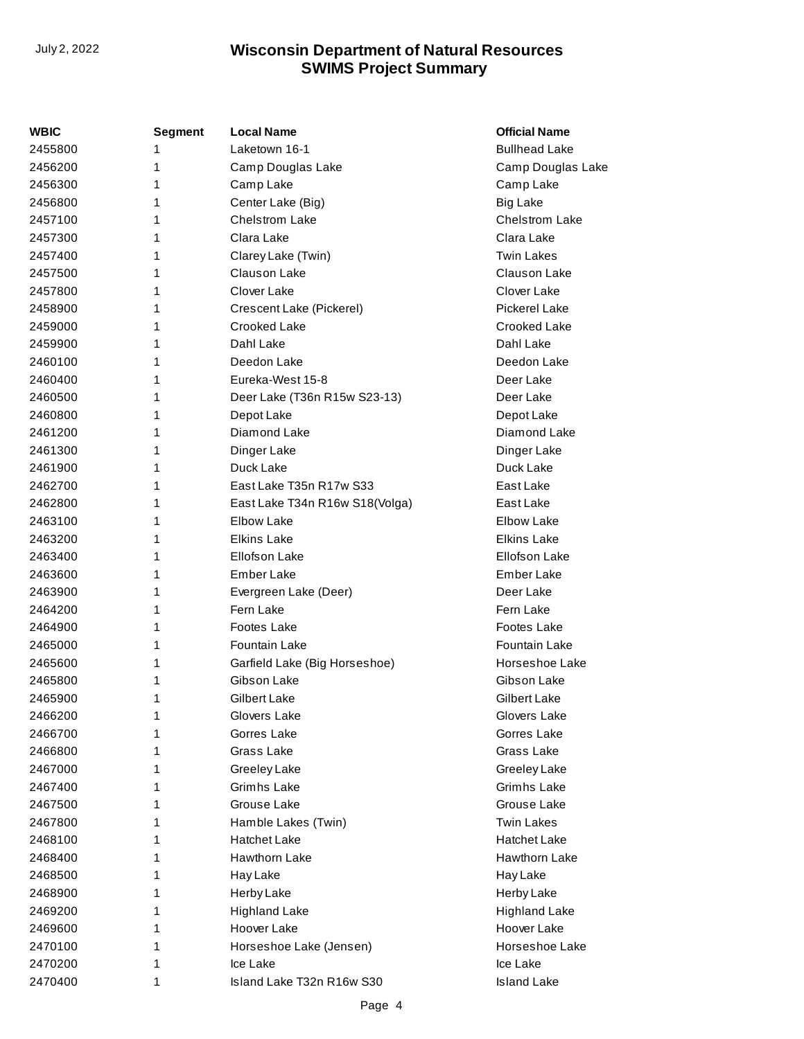| WBIC    | <b>Segment</b> | <b>Local Name</b>              | <b>Official Name</b>  |
|---------|----------------|--------------------------------|-----------------------|
| 2455800 | 1              | Laketown 16-1                  | <b>Bullhead Lake</b>  |
| 2456200 | 1              | Camp Douglas Lake              | Camp Douglas Lake     |
| 2456300 | 1              | Camp Lake                      | Camp Lake             |
| 2456800 | 1              | Center Lake (Big)              | <b>Big Lake</b>       |
| 2457100 | 1              | <b>Chelstrom Lake</b>          | <b>Chelstrom Lake</b> |
| 2457300 | 1              | Clara Lake                     | Clara Lake            |
| 2457400 | 1              | Clarey Lake (Twin)             | <b>Twin Lakes</b>     |
| 2457500 | 1              | Clauson Lake                   | Clauson Lake          |
| 2457800 | 1              | Clover Lake                    | Clover Lake           |
| 2458900 | 1              | Crescent Lake (Pickerel)       | Pickerel Lake         |
| 2459000 | 1              | Crooked Lake                   | Crooked Lake          |
| 2459900 | 1              | Dahl Lake                      | Dahl Lake             |
| 2460100 | 1              | Deedon Lake                    | Deedon Lake           |
| 2460400 | 1              | Eureka-West 15-8               | Deer Lake             |
| 2460500 | 1              | Deer Lake (T36n R15w S23-13)   | Deer Lake             |
| 2460800 | 1              | Depot Lake                     | Depot Lake            |
| 2461200 | 1              | Diamond Lake                   | Diamond Lake          |
| 2461300 | 1              | Dinger Lake                    | Dinger Lake           |
| 2461900 | 1              | Duck Lake                      | Duck Lake             |
| 2462700 | 1              | East Lake T35n R17w S33        | East Lake             |
| 2462800 | 1              | East Lake T34n R16w S18(Volga) | East Lake             |
| 2463100 | 1              | <b>Elbow Lake</b>              | <b>Elbow Lake</b>     |
| 2463200 | 1              | <b>Elkins Lake</b>             | <b>Elkins Lake</b>    |
| 2463400 | 1              | <b>Ellofson Lake</b>           | <b>Ellofson Lake</b>  |
| 2463600 | 1              | Ember Lake                     | Ember Lake            |
| 2463900 | 1              | Evergreen Lake (Deer)          | Deer Lake             |
| 2464200 | 1              | Fern Lake                      | Fern Lake             |
| 2464900 | 1              | Footes Lake                    | Footes Lake           |
| 2465000 | 1              | Fountain Lake                  | <b>Fountain Lake</b>  |
| 2465600 | 1              | Garfield Lake (Big Horseshoe)  | Horseshoe Lake        |
| 2465800 | 1              | Gibson Lake                    | Gibson Lake           |
| 2465900 | 1              | Gilbert Lake                   | Gilbert Lake          |
| 2466200 | 1              | Glovers Lake                   | Glovers Lake          |
| 2466700 | 1              | Gorres Lake                    | Gorres Lake           |
| 2466800 | 1              | Grass Lake                     | Grass Lake            |
| 2467000 | 1              | Greeley Lake                   | Greeley Lake          |
| 2467400 | 1              | Grimhs Lake                    | Grimhs Lake           |
| 2467500 | 1              | Grouse Lake                    | Grouse Lake           |
| 2467800 | 1              | Hamble Lakes (Twin)            | <b>Twin Lakes</b>     |
| 2468100 | 1              | <b>Hatchet Lake</b>            | <b>Hatchet Lake</b>   |
| 2468400 | 1              | Hawthorn Lake                  | Hawthorn Lake         |
| 2468500 | 1              | Hay Lake                       | Hay Lake              |
| 2468900 | 1              | Herby Lake                     | Herby Lake            |
| 2469200 | 1              | <b>Highland Lake</b>           | <b>Highland Lake</b>  |
| 2469600 | 1              | Hoover Lake                    | Hoover Lake           |
| 2470100 | 1              | Horseshoe Lake (Jensen)        | Horseshoe Lake        |
| 2470200 | 1              | Ice Lake                       | Ice Lake              |
| 2470400 | 1              | Island Lake T32n R16w S30      | <b>Island Lake</b>    |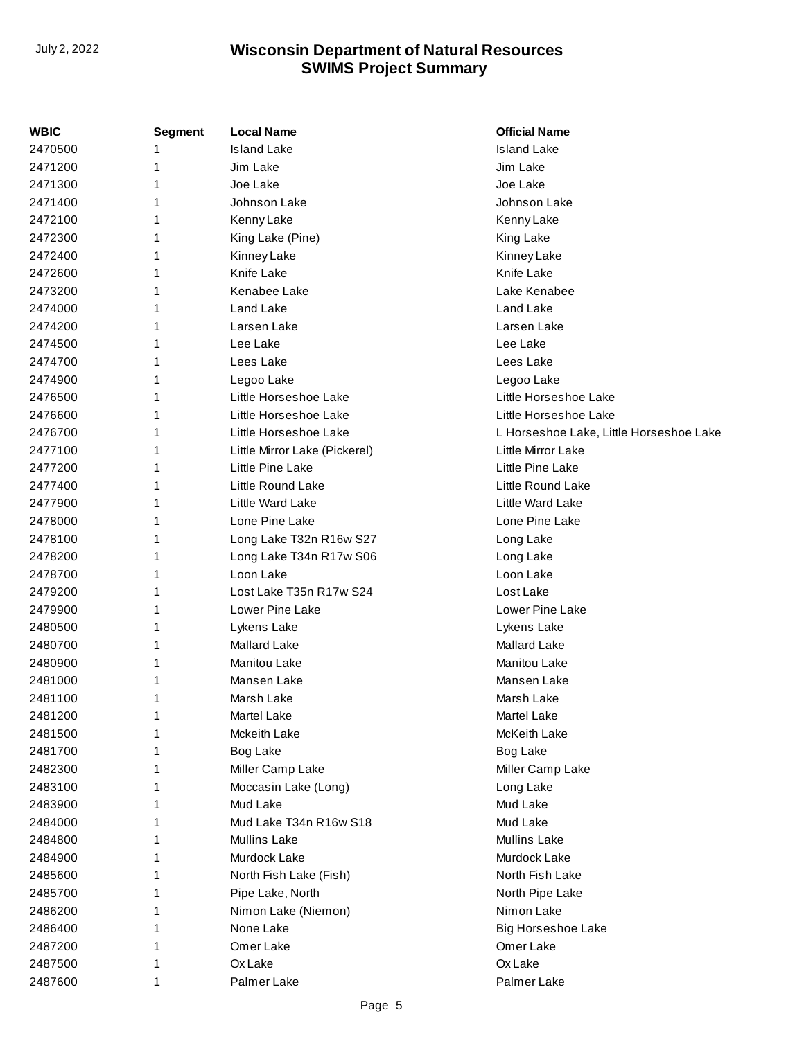| <b>WBIC</b> | Segment | <b>Local Name</b>             | <b>Official Name</b>                    |
|-------------|---------|-------------------------------|-----------------------------------------|
| 2470500     | 1       | <b>Island Lake</b>            | <b>Island Lake</b>                      |
| 2471200     | 1       | Jim Lake                      | Jim Lake                                |
| 2471300     | 1       | Joe Lake                      | Joe Lake                                |
| 2471400     | 1       | Johnson Lake                  | Johnson Lake                            |
| 2472100     | 1       | Kenny Lake                    | Kenny Lake                              |
| 2472300     | 1       | King Lake (Pine)              | King Lake                               |
| 2472400     | 1       | Kinney Lake                   | Kinney Lake                             |
| 2472600     | 1       | Knife Lake                    | Knife Lake                              |
| 2473200     | 1       | Kenabee Lake                  | Lake Kenabee                            |
| 2474000     | 1       | Land Lake                     | Land Lake                               |
| 2474200     | 1       | Larsen Lake                   | Larsen Lake                             |
| 2474500     | 1       | Lee Lake                      | Lee Lake                                |
| 2474700     | 1       | Lees Lake                     | Lees Lake                               |
| 2474900     | 1       | Legoo Lake                    | Legoo Lake                              |
| 2476500     | 1       | Little Horseshoe Lake         | Little Horseshoe Lake                   |
| 2476600     | 1       | Little Horseshoe Lake         | Little Horseshoe Lake                   |
| 2476700     | 1       | Little Horseshoe Lake         | L Horseshoe Lake, Little Horseshoe Lake |
| 2477100     | 1       | Little Mirror Lake (Pickerel) | Little Mirror Lake                      |
| 2477200     | 1       | Little Pine Lake              | Little Pine Lake                        |
| 2477400     | 1       | Little Round Lake             | Little Round Lake                       |
| 2477900     | 1       | Little Ward Lake              | Little Ward Lake                        |
| 2478000     | 1       | Lone Pine Lake                | Lone Pine Lake                          |
| 2478100     | 1       | Long Lake T32n R16w S27       | Long Lake                               |
| 2478200     | 1       | Long Lake T34n R17w S06       | Long Lake                               |
| 2478700     | 1       | Loon Lake                     | Loon Lake                               |
| 2479200     | 1       | Lost Lake T35n R17w S24       | Lost Lake                               |
| 2479900     | 1       | Lower Pine Lake               | Lower Pine Lake                         |
| 2480500     | 1       | Lykens Lake                   | Lykens Lake                             |
| 2480700     | 1       | <b>Mallard Lake</b>           | Mallard Lake                            |
| 2480900     | 1       | <b>Manitou Lake</b>           | Manitou Lake                            |
| 2481000     | 1       | Mansen Lake                   | Mansen Lake                             |
| 2481100     | 1       | Marsh Lake                    | Marsh Lake                              |
| 2481200     | 1       | Martel Lake                   | Martel Lake                             |
| 2481500     | 1       | Mckeith Lake                  | McKeith Lake                            |
| 2481700     | 1       | Bog Lake                      | Bog Lake                                |
| 2482300     | 1       | Miller Camp Lake              | Miller Camp Lake                        |
| 2483100     | 1       | Moccasin Lake (Long)          | Long Lake                               |
| 2483900     | 1       | Mud Lake                      | Mud Lake                                |
| 2484000     | 1       | Mud Lake T34n R16w S18        | Mud Lake                                |
| 2484800     | 1       | <b>Mullins Lake</b>           | Mullins Lake                            |
| 2484900     | 1       | Murdock Lake                  | Murdock Lake                            |
| 2485600     | 1       | North Fish Lake (Fish)        | North Fish Lake                         |
| 2485700     | 1       | Pipe Lake, North              | North Pipe Lake                         |
| 2486200     | 1       | Nimon Lake (Niemon)           | Nimon Lake                              |
| 2486400     | 1       | None Lake                     | <b>Big Horseshoe Lake</b>               |
| 2487200     | 1       | Omer Lake                     | Omer Lake                               |
| 2487500     | 1       | Ox Lake                       | Ox Lake                                 |
| 2487600     | 1       | Palmer Lake                   | Palmer Lake                             |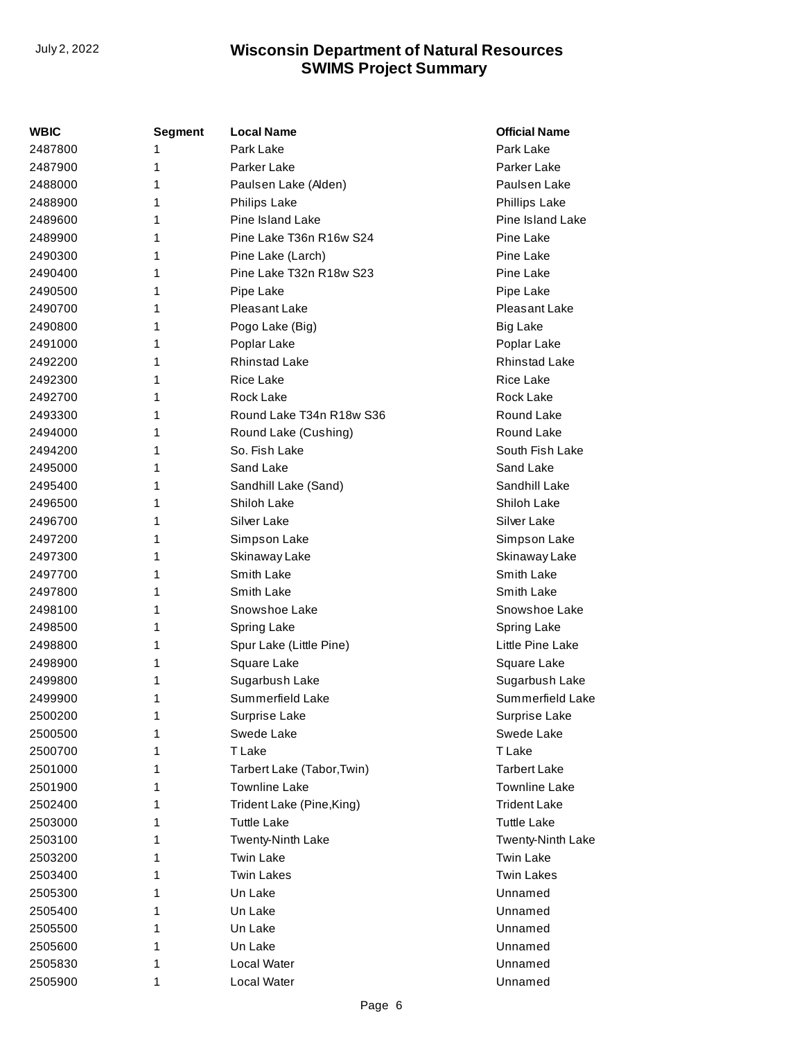| <b>WBIC</b> | <b>Segment</b> | <b>Local Name</b>          | <b>Official Name</b> |
|-------------|----------------|----------------------------|----------------------|
| 2487800     | 1              | Park Lake                  | Park Lake            |
| 2487900     | 1              | Parker Lake                | Parker Lake          |
| 2488000     | 1              | Paulsen Lake (Alden)       | Paulsen Lake         |
| 2488900     | 1              | <b>Philips Lake</b>        | Phillips Lake        |
| 2489600     | 1              | Pine Island Lake           | Pine Island Lake     |
| 2489900     | 1              | Pine Lake T36n R16w S24    | Pine Lake            |
| 2490300     | 1              | Pine Lake (Larch)          | Pine Lake            |
| 2490400     | 1              | Pine Lake T32n R18w S23    | Pine Lake            |
| 2490500     | 1              | Pipe Lake                  | Pipe Lake            |
| 2490700     | 1              | Pleasant Lake              | Pleasant Lake        |
| 2490800     | 1              | Pogo Lake (Big)            | <b>Big Lake</b>      |
| 2491000     | 1              | Poplar Lake                | Poplar Lake          |
| 2492200     | 1              | <b>Rhinstad Lake</b>       | <b>Rhinstad Lake</b> |
| 2492300     | 1              | <b>Rice Lake</b>           | Rice Lake            |
| 2492700     | 1              | Rock Lake                  | Rock Lake            |
| 2493300     | 1              | Round Lake T34n R18w S36   | Round Lake           |
| 2494000     | 1              | Round Lake (Cushing)       | Round Lake           |
| 2494200     | 1              | So. Fish Lake              | South Fish Lake      |
| 2495000     | 1              | Sand Lake                  | Sand Lake            |
| 2495400     | 1              | Sandhill Lake (Sand)       | Sandhill Lake        |
| 2496500     | 1              | Shiloh Lake                | Shiloh Lake          |
| 2496700     | 1              | Silver Lake                | Silver Lake          |
| 2497200     | 1              | Simpson Lake               | Simpson Lake         |
| 2497300     | 1              | Skinaway Lake              | Skinaway Lake        |
| 2497700     | 1              | Smith Lake                 | Smith Lake           |
| 2497800     | 1              | Smith Lake                 | Smith Lake           |
| 2498100     | 1              | Snowshoe Lake              | Snowshoe Lake        |
| 2498500     | 1              | Spring Lake                | Spring Lake          |
| 2498800     | 1              | Spur Lake (Little Pine)    | Little Pine Lake     |
| 2498900     | 1              | Square Lake                | Square Lake          |
| 2499800     | 1              | Sugarbush Lake             | Sugarbush Lake       |
| 2499900     | 1              | Summerfield Lake           | Summerfield Lake     |
| 2500200     | 1              | Surprise Lake              | Surprise Lake        |
| 2500500     | 1              | Swede Lake                 | Swede Lake           |
| 2500700     | 1              | T Lake                     | <b>TLake</b>         |
| 2501000     | 1              | Tarbert Lake (Tabor, Twin) | <b>Tarbert Lake</b>  |
| 2501900     | 1              | <b>Townline Lake</b>       | <b>Townline Lake</b> |
| 2502400     | 1              | Trident Lake (Pine, King)  | <b>Trident Lake</b>  |
| 2503000     | 1              | <b>Tuttle Lake</b>         | <b>Tuttle Lake</b>   |
| 2503100     | 1              | Twenty-Ninth Lake          | Twenty-Ninth Lake    |
| 2503200     | 1              | <b>Twin Lake</b>           | <b>Twin Lake</b>     |
| 2503400     | 1              | <b>Twin Lakes</b>          | <b>Twin Lakes</b>    |
| 2505300     | 1              | Un Lake                    | Unnamed              |
| 2505400     | 1              | Un Lake                    | Unnamed              |
| 2505500     | 1              | Un Lake                    | Unnamed              |
| 2505600     | 1              | Un Lake                    | Unnamed              |
| 2505830     | 1              | Local Water                | Unnamed              |
| 2505900     | 1              | Local Water                | Unnamed              |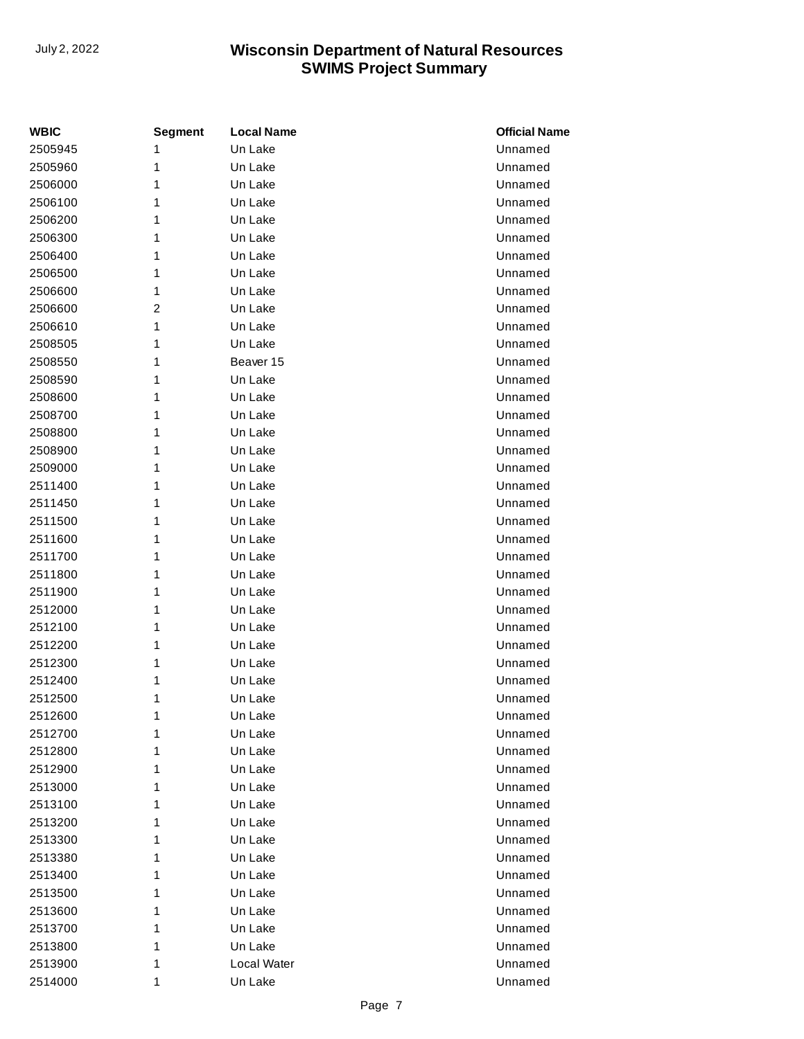| <b>WBIC</b> | <b>Segment</b> | <b>Local Name</b> | <b>Official Name</b> |
|-------------|----------------|-------------------|----------------------|
| 2505945     | 1              | Un Lake           | Unnamed              |
| 2505960     | 1              | Un Lake           | Unnamed              |
| 2506000     | 1              | Un Lake           | Unnamed              |
| 2506100     | 1              | Un Lake           | Unnamed              |
| 2506200     | 1              | Un Lake           | Unnamed              |
| 2506300     | 1              | Un Lake           | Unnamed              |
| 2506400     | 1              | Un Lake           | Unnamed              |
| 2506500     | 1              | Un Lake           | Unnamed              |
| 2506600     | 1              | Un Lake           | Unnamed              |
| 2506600     | 2              | Un Lake           | Unnamed              |
| 2506610     | 1              | Un Lake           | Unnamed              |
| 2508505     | 1              | Un Lake           | Unnamed              |
| 2508550     | 1              | Beaver 15         | Unnamed              |
| 2508590     | 1              | Un Lake           | Unnamed              |
| 2508600     | 1              | Un Lake           | Unnamed              |
| 2508700     | 1              | Un Lake           | Unnamed              |
| 2508800     | 1              | Un Lake           | Unnamed              |
| 2508900     | 1              | Un Lake           | Unnamed              |
| 2509000     | 1              | Un Lake           | Unnamed              |
| 2511400     | 1              | Un Lake           | Unnamed              |
| 2511450     | 1              | Un Lake           | Unnamed              |
| 2511500     | 1              | Un Lake           | Unnamed              |
| 2511600     | 1              | Un Lake           | Unnamed              |
| 2511700     | 1              | Un Lake           | Unnamed              |
| 2511800     | 1              | Un Lake           | Unnamed              |
| 2511900     | 1              | Un Lake           | Unnamed              |
| 2512000     | 1              | Un Lake           | Unnamed              |
| 2512100     | 1              | Un Lake           | Unnamed              |
| 2512200     | 1              | Un Lake           | Unnamed              |
| 2512300     | 1              | Un Lake           | Unnamed              |
| 2512400     | 1              | Un Lake           | Unnamed              |
| 2512500     | 1              | Un Lake           | Unnamed              |
| 2512600     | 1              | Un Lake           | Unnamed              |
| 2512700     | 1              | Un Lake           | Unnamed              |
| 2512800     | 1              | Un Lake           | Unnamed              |
| 2512900     | 1              | Un Lake           | Unnamed              |
| 2513000     | 1              | Un Lake           | Unnamed              |
| 2513100     | 1              | Un Lake           | Unnamed              |
| 2513200     | 1              | Un Lake           | Unnamed              |
| 2513300     | 1              | Un Lake           | Unnamed              |
| 2513380     | 1              | Un Lake           | Unnamed              |
| 2513400     | 1              | Un Lake           | Unnamed              |
| 2513500     | 1              | Un Lake           | Unnamed              |
| 2513600     | 1              | Un Lake           | Unnamed              |
| 2513700     | 1              | Un Lake           | Unnamed              |
| 2513800     | 1              | Un Lake           | Unnamed              |
| 2513900     | 1              | Local Water       | Unnamed              |
| 2514000     | 1              | Un Lake           | Unnamed              |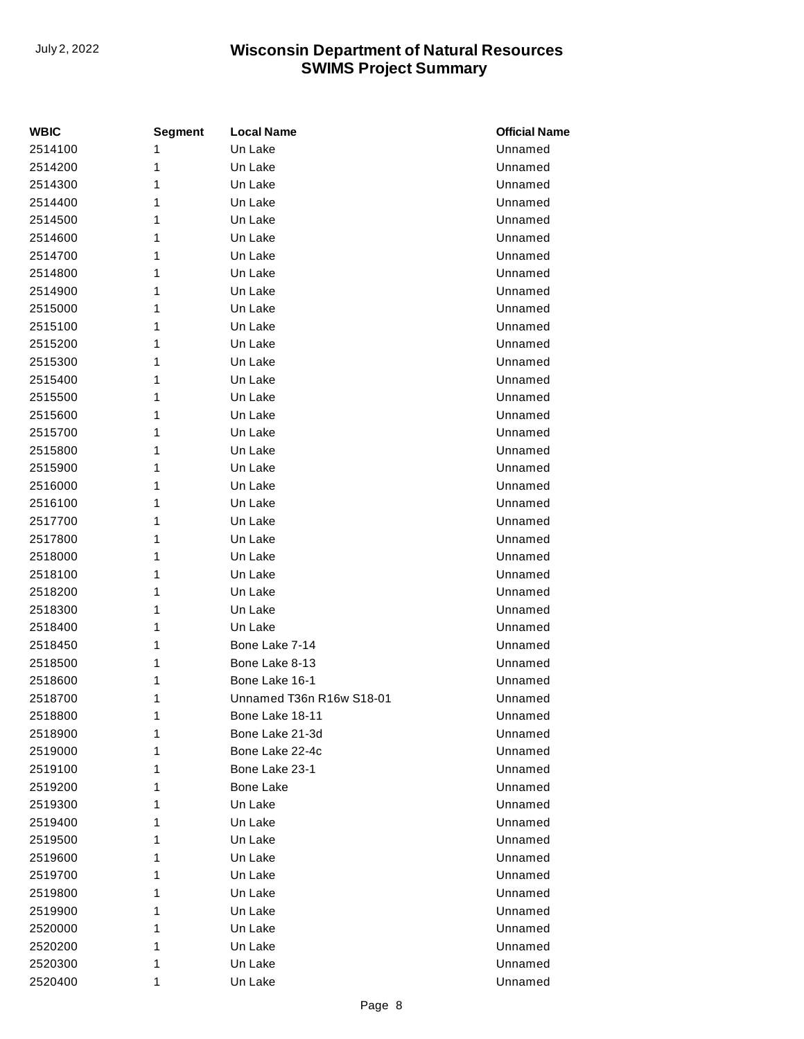| <b>WBIC</b> | <b>Segment</b> | <b>Local Name</b>        | <b>Official Name</b> |
|-------------|----------------|--------------------------|----------------------|
| 2514100     | 1              | Un Lake                  | Unnamed              |
| 2514200     | 1              | Un Lake                  | Unnamed              |
| 2514300     | 1              | Un Lake                  | Unnamed              |
| 2514400     | 1              | Un Lake                  | Unnamed              |
| 2514500     | 1              | Un Lake                  | Unnamed              |
| 2514600     | 1              | Un Lake                  | Unnamed              |
| 2514700     | 1              | Un Lake                  | Unnamed              |
| 2514800     | 1              | Un Lake                  | Unnamed              |
| 2514900     | 1              | Un Lake                  | Unnamed              |
| 2515000     | 1              | Un Lake                  | Unnamed              |
| 2515100     | 1              | Un Lake                  | Unnamed              |
| 2515200     | 1              | Un Lake                  | Unnamed              |
| 2515300     | 1              | Un Lake                  | Unnamed              |
| 2515400     | 1              | Un Lake                  | Unnamed              |
| 2515500     | 1              | Un Lake                  | Unnamed              |
| 2515600     | 1              | Un Lake                  | Unnamed              |
| 2515700     | 1              | Un Lake                  | Unnamed              |
| 2515800     | 1              | Un Lake                  | Unnamed              |
| 2515900     | 1              | Un Lake                  | Unnamed              |
| 2516000     | 1              | Un Lake                  | Unnamed              |
| 2516100     | 1              | Un Lake                  | Unnamed              |
| 2517700     | 1              | Un Lake                  | Unnamed              |
| 2517800     | 1              | Un Lake                  | Unnamed              |
| 2518000     | 1              | Un Lake                  | Unnamed              |
| 2518100     | 1              | Un Lake                  | Unnamed              |
| 2518200     | 1              | Un Lake                  | Unnamed              |
| 2518300     | 1              | Un Lake                  | Unnamed              |
| 2518400     | 1              | Un Lake                  | Unnamed              |
| 2518450     | 1              | Bone Lake 7-14           | Unnamed              |
| 2518500     | 1              | Bone Lake 8-13           | Unnamed              |
| 2518600     | 1              | Bone Lake 16-1           | Unnamed              |
| 2518700     | 1              | Unnamed T36n R16w S18-01 | Unnamed              |
| 2518800     | 1              | Bone Lake 18-11          | Unnamed              |
| 2518900     | 1              | Bone Lake 21-3d          | Unnamed              |
| 2519000     | 1              | Bone Lake 22-4c          | Unnamed              |
| 2519100     | 1              | Bone Lake 23-1           | Unnamed              |
| 2519200     | 1              | <b>Bone Lake</b>         | Unnamed              |
| 2519300     | 1              | Un Lake                  | Unnamed              |
| 2519400     | 1              | Un Lake                  | Unnamed              |
| 2519500     | 1              | Un Lake                  | Unnamed              |
| 2519600     | 1              | Un Lake                  | Unnamed              |
| 2519700     | 1              | Un Lake                  | Unnamed              |
| 2519800     | 1              | Un Lake                  | Unnamed              |
| 2519900     | 1              | Un Lake                  | Unnamed              |
| 2520000     | 1              | Un Lake                  | Unnamed              |
| 2520200     | 1              | Un Lake                  | Unnamed              |
| 2520300     | 1              | Un Lake                  | Unnamed              |
| 2520400     | 1              | Un Lake                  | Unnamed              |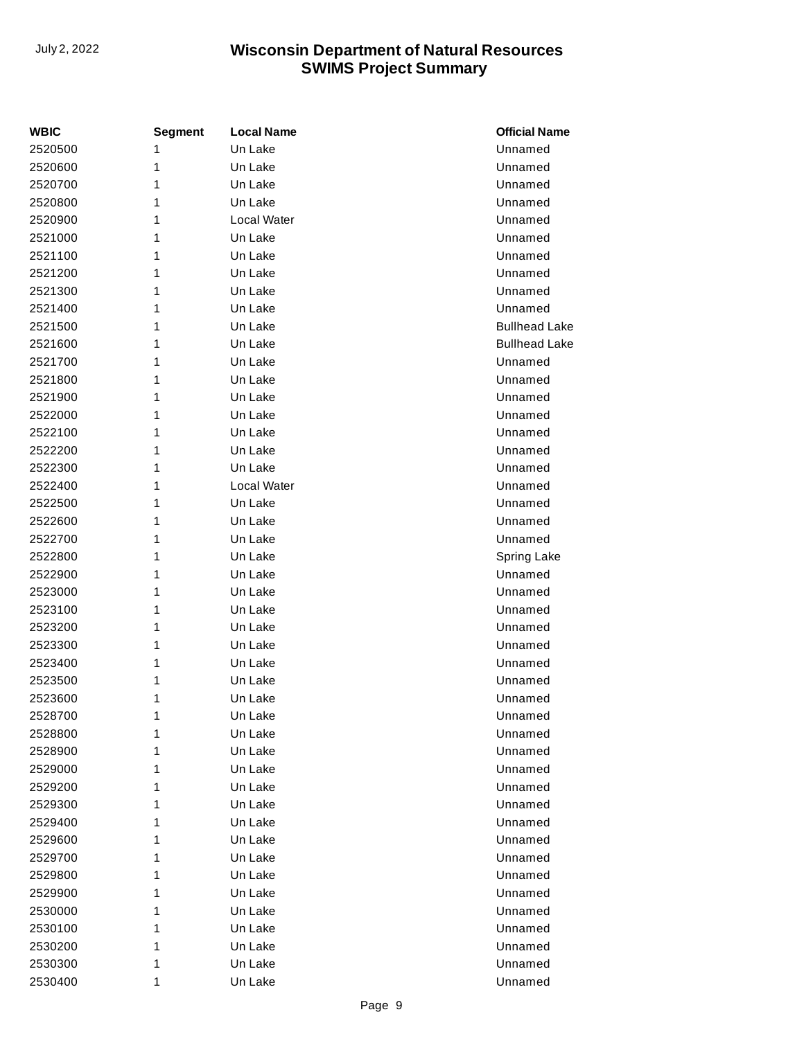| <b>WBIC</b> | <b>Segment</b> | <b>Local Name</b> | <b>Official Name</b> |
|-------------|----------------|-------------------|----------------------|
| 2520500     | 1              | Un Lake           | Unnamed              |
| 2520600     | 1              | Un Lake           | Unnamed              |
| 2520700     | 1              | Un Lake           | Unnamed              |
| 2520800     | 1              | Un Lake           | Unnamed              |
| 2520900     | 1              | Local Water       | Unnamed              |
| 2521000     | 1              | Un Lake           | Unnamed              |
| 2521100     | 1              | Un Lake           | Unnamed              |
| 2521200     | 1              | Un Lake           | Unnamed              |
| 2521300     | 1              | Un Lake           | Unnamed              |
| 2521400     | 1              | Un Lake           | Unnamed              |
| 2521500     | 1              | Un Lake           | <b>Bullhead Lake</b> |
| 2521600     | 1              | Un Lake           | <b>Bullhead Lake</b> |
| 2521700     | 1              | Un Lake           | Unnamed              |
| 2521800     | 1              | Un Lake           | Unnamed              |
| 2521900     | 1              | Un Lake           | Unnamed              |
| 2522000     | 1              | Un Lake           | Unnamed              |
| 2522100     | 1              | Un Lake           | Unnamed              |
| 2522200     | 1              | Un Lake           | Unnamed              |
| 2522300     | 1              | Un Lake           | Unnamed              |
| 2522400     | 1              | Local Water       | Unnamed              |
| 2522500     | 1              | Un Lake           | Unnamed              |
| 2522600     | 1              | Un Lake           | Unnamed              |
| 2522700     | 1              | Un Lake           | Unnamed              |
| 2522800     | 1              | Un Lake           | Spring Lake          |
| 2522900     | 1              | Un Lake           | Unnamed              |
| 2523000     | 1              | Un Lake           | Unnamed              |
| 2523100     | 1              | Un Lake           | Unnamed              |
| 2523200     | 1              | Un Lake           | Unnamed              |
| 2523300     | 1              | Un Lake           | Unnamed              |
| 2523400     | 1              | Un Lake           | Unnamed              |
| 2523500     | 1              | Un Lake           | Unnamed              |
| 2523600     | 1              | Un Lake           | Unnamed              |
| 2528700     | 1              | Un Lake           | Unnamed              |
| 2528800     | 1              | Un Lake           | Unnamed              |
| 2528900     | 1              | Un Lake           | Unnamed              |
| 2529000     | 1              | Un Lake           | Unnamed              |
| 2529200     | 1              | Un Lake           | Unnamed              |
| 2529300     | 1              | Un Lake           | Unnamed              |
| 2529400     | 1              | Un Lake           | Unnamed              |
| 2529600     | 1              | Un Lake           | Unnamed              |
| 2529700     | 1              | Un Lake           | Unnamed              |
| 2529800     | 1              | Un Lake           | Unnamed              |
| 2529900     | 1              | Un Lake           | Unnamed              |
| 2530000     | 1              | Un Lake           | Unnamed              |
| 2530100     | 1              | Un Lake           | Unnamed              |
| 2530200     | 1              | Un Lake           | Unnamed              |
| 2530300     | 1              | Un Lake           | Unnamed              |
| 2530400     | 1              | Un Lake           | Unnamed              |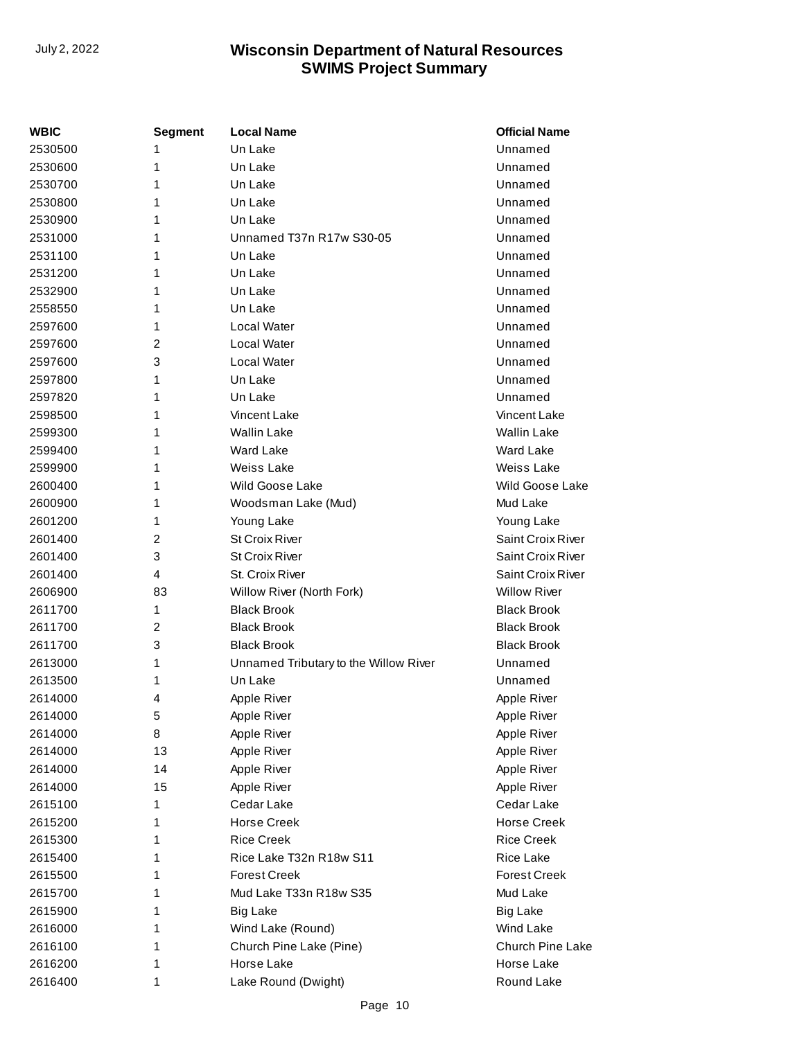| WBIC    | Segment | <b>Local Name</b>                     | <b>Official Name</b>    |
|---------|---------|---------------------------------------|-------------------------|
| 2530500 | 1       | Un Lake                               | Unnamed                 |
| 2530600 | 1       | Un Lake                               | Unnamed                 |
| 2530700 | 1       | Un Lake                               | Unnamed                 |
| 2530800 | 1       | Un Lake                               | Unnamed                 |
| 2530900 | 1       | Un Lake                               | Unnamed                 |
| 2531000 | 1       | Unnamed T37n R17w S30-05              | Unnamed                 |
| 2531100 | 1       | Un Lake                               | Unnamed                 |
| 2531200 | 1       | Un Lake                               | Unnamed                 |
| 2532900 | 1       | Un Lake                               | Unnamed                 |
| 2558550 | 1       | Un Lake                               | Unnamed                 |
| 2597600 | 1       | Local Water                           | Unnamed                 |
| 2597600 | 2       | Local Water                           | Unnamed                 |
| 2597600 | 3       | Local Water                           | Unnamed                 |
| 2597800 | 1       | Un Lake                               | Unnamed                 |
| 2597820 | 1       | Un Lake                               | Unnamed                 |
| 2598500 | 1       | Vincent Lake                          | Vincent Lake            |
| 2599300 | 1       | <b>Wallin Lake</b>                    | <b>Wallin Lake</b>      |
| 2599400 | 1       | Ward Lake                             | Ward Lake               |
| 2599900 | 1       | <b>Weiss Lake</b>                     | Weiss Lake              |
| 2600400 | 1       | Wild Goose Lake                       | Wild Goose Lake         |
| 2600900 | 1       | Woodsman Lake (Mud)                   | Mud Lake                |
| 2601200 | 1       | Young Lake                            | Young Lake              |
| 2601400 | 2       | <b>St Croix River</b>                 | Saint Croix River       |
| 2601400 | 3       | <b>St Croix River</b>                 | Saint Croix River       |
| 2601400 | 4       | St. Croix River                       | Saint Croix River       |
| 2606900 | 83      | Willow River (North Fork)             | <b>Willow River</b>     |
| 2611700 | 1       | <b>Black Brook</b>                    | <b>Black Brook</b>      |
| 2611700 | 2       | <b>Black Brook</b>                    | <b>Black Brook</b>      |
| 2611700 | 3       | <b>Black Brook</b>                    | <b>Black Brook</b>      |
| 2613000 | 1       | Unnamed Tributary to the Willow River | Unnamed                 |
| 2613500 | 1       | Un Lake                               | Unnamed                 |
| 2614000 | 4       | Apple River                           | Apple River             |
| 2614000 | 5       | Apple River                           | Apple River             |
| 2614000 | 8       | Apple River                           | Apple River             |
| 2614000 | 13      | Apple River                           | Apple River             |
| 2614000 | 14      | Apple River                           | Apple River             |
| 2614000 | 15      | Apple River                           | Apple River             |
| 2615100 | 1       | Cedar Lake                            | Cedar Lake              |
| 2615200 | 1       | <b>Horse Creek</b>                    | <b>Horse Creek</b>      |
| 2615300 | 1       | <b>Rice Creek</b>                     | <b>Rice Creek</b>       |
| 2615400 | 1       | Rice Lake T32n R18w S11               | Rice Lake               |
| 2615500 | 1       | <b>Forest Creek</b>                   | <b>Forest Creek</b>     |
| 2615700 | 1       | Mud Lake T33n R18w S35                | Mud Lake                |
| 2615900 | 1       | <b>Big Lake</b>                       | <b>Big Lake</b>         |
| 2616000 | 1       | Wind Lake (Round)                     | Wind Lake               |
| 2616100 | 1       | Church Pine Lake (Pine)               | <b>Church Pine Lake</b> |
| 2616200 | 1       | Horse Lake                            | Horse Lake              |
| 2616400 | 1       | Lake Round (Dwight)                   | Round Lake              |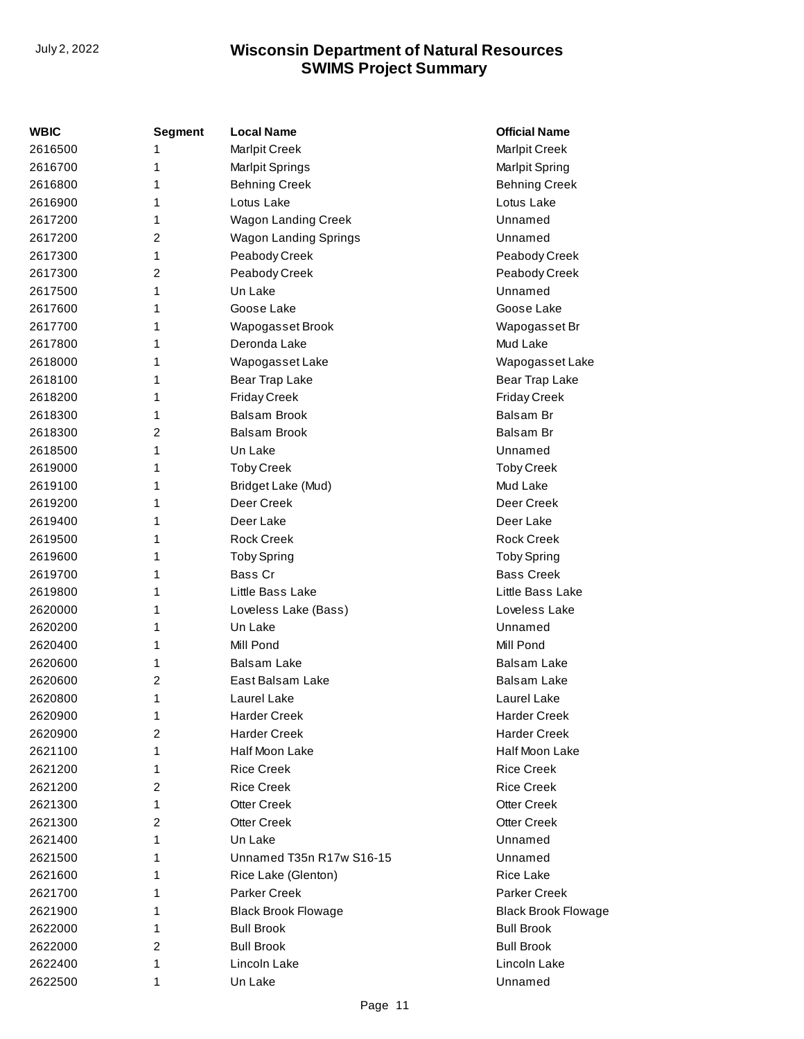| WBIC    | <b>Segment</b> | <b>Local Name</b>          | <b>Official Name</b>       |
|---------|----------------|----------------------------|----------------------------|
| 2616500 | 1              | <b>Marlpit Creek</b>       | <b>Marlpit Creek</b>       |
| 2616700 | 1              | Marlpit Springs            | Marlpit Spring             |
| 2616800 | 1              | <b>Behning Creek</b>       | <b>Behning Creek</b>       |
| 2616900 | 1              | Lotus Lake                 | Lotus Lake                 |
| 2617200 | 1              | <b>Wagon Landing Creek</b> | Unnamed                    |
| 2617200 | $\overline{2}$ | Wagon Landing Springs      | Unnamed                    |
| 2617300 | 1              | Peabody Creek              | Peabody Creek              |
| 2617300 | 2              | Peabody Creek              | Peabody Creek              |
| 2617500 | 1              | Un Lake                    | Unnamed                    |
| 2617600 | 1              | Goose Lake                 | Goose Lake                 |
| 2617700 | 1              | Wapogasset Brook           | Wapogasset Br              |
| 2617800 | 1              | Deronda Lake               | Mud Lake                   |
| 2618000 | 1              | Wapogasset Lake            | Wapogasset Lake            |
| 2618100 | 1              | Bear Trap Lake             | Bear Trap Lake             |
| 2618200 | 1              | <b>Friday Creek</b>        | <b>Friday Creek</b>        |
| 2618300 | 1              | <b>Balsam Brook</b>        | Balsam Br                  |
| 2618300 | 2              | <b>Balsam Brook</b>        | Balsam Br                  |
| 2618500 | 1              | Un Lake                    | Unnamed                    |
| 2619000 | 1              | <b>Toby Creek</b>          | <b>Toby Creek</b>          |
| 2619100 | 1              | Bridget Lake (Mud)         | Mud Lake                   |
| 2619200 | 1              | Deer Creek                 | Deer Creek                 |
| 2619400 | 1              | Deer Lake                  | Deer Lake                  |
| 2619500 | 1              | <b>Rock Creek</b>          | <b>Rock Creek</b>          |
| 2619600 | 1              | <b>Toby Spring</b>         | <b>Toby Spring</b>         |
| 2619700 | 1              | Bass Cr                    | <b>Bass Creek</b>          |
| 2619800 | 1              | Little Bass Lake           | Little Bass Lake           |
| 2620000 | 1              | Loveless Lake (Bass)       | Loveless Lake              |
| 2620200 | 1              | Un Lake                    | Unnamed                    |
| 2620400 | 1              | Mill Pond                  | Mill Pond                  |
| 2620600 | 1              | <b>Balsam Lake</b>         | <b>Balsam Lake</b>         |
| 2620600 | 2              | East Balsam Lake           | Balsam Lake                |
| 2620800 | 1              | Laurel Lake                | Laurel Lake                |
| 2620900 | 1              | <b>Harder Creek</b>        | <b>Harder Creek</b>        |
| 2620900 | $\overline{c}$ | <b>Harder Creek</b>        | <b>Harder Creek</b>        |
| 2621100 | 1              | Half Moon Lake             | Half Moon Lake             |
| 2621200 | 1              | <b>Rice Creek</b>          | <b>Rice Creek</b>          |
| 2621200 | 2              | <b>Rice Creek</b>          | <b>Rice Creek</b>          |
| 2621300 | 1              | <b>Otter Creek</b>         | <b>Otter Creek</b>         |
| 2621300 | 2              | <b>Otter Creek</b>         | <b>Otter Creek</b>         |
| 2621400 | 1              | Un Lake                    | Unnamed                    |
| 2621500 | 1              | Unnamed T35n R17w S16-15   | Unnamed                    |
| 2621600 | 1              | Rice Lake (Glenton)        | <b>Rice Lake</b>           |
| 2621700 | 1              | <b>Parker Creek</b>        | <b>Parker Creek</b>        |
| 2621900 | 1              | <b>Black Brook Flowage</b> | <b>Black Brook Flowage</b> |
| 2622000 | 1              | <b>Bull Brook</b>          | <b>Bull Brook</b>          |
| 2622000 | 2              | <b>Bull Brook</b>          | <b>Bull Brook</b>          |
| 2622400 | 1              | Lincoln Lake               | Lincoln Lake               |
| 2622500 | 1              | Un Lake                    | Unnamed                    |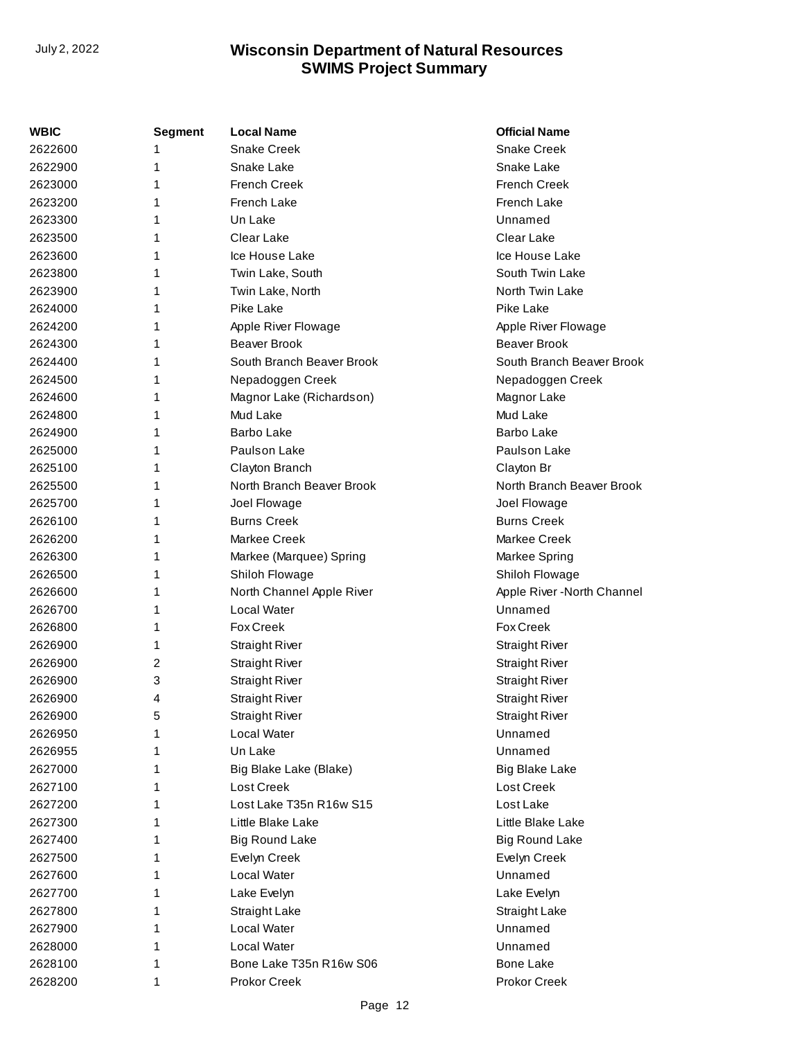| WBIC    | <b>Segment</b> | <b>Local Name</b>         | <b>Official Name</b>        |
|---------|----------------|---------------------------|-----------------------------|
| 2622600 | 1              | <b>Snake Creek</b>        | <b>Snake Creek</b>          |
| 2622900 | 1              | Snake Lake                | Snake Lake                  |
| 2623000 | 1              | <b>French Creek</b>       | <b>French Creek</b>         |
| 2623200 | 1              | French Lake               | French Lake                 |
| 2623300 | 1              | Un Lake                   | Unnamed                     |
| 2623500 | 1              | Clear Lake                | Clear Lake                  |
| 2623600 | 1              | Ice House Lake            | Ice House Lake              |
| 2623800 | 1              | Twin Lake, South          | South Twin Lake             |
| 2623900 | 1              | Twin Lake, North          | North Twin Lake             |
| 2624000 | 1              | Pike Lake                 | Pike Lake                   |
| 2624200 | 1              | Apple River Flowage       | Apple River Flowage         |
| 2624300 | 1              | <b>Beaver Brook</b>       | <b>Beaver Brook</b>         |
| 2624400 | 1              | South Branch Beaver Brook | South Branch Beaver Brook   |
| 2624500 | 1              | Nepadoggen Creek          | Nepadoggen Creek            |
| 2624600 | 1              | Magnor Lake (Richardson)  | Magnor Lake                 |
| 2624800 | 1              | Mud Lake                  | Mud Lake                    |
| 2624900 | 1              | <b>Barbo Lake</b>         | <b>Barbo Lake</b>           |
| 2625000 | 1              | Paulson Lake              | Paulson Lake                |
| 2625100 | 1              | Clayton Branch            | Clayton Br                  |
| 2625500 | 1              | North Branch Beaver Brook | North Branch Beaver Brook   |
| 2625700 | 1              | Joel Flowage              | Joel Flowage                |
| 2626100 | 1              | <b>Burns Creek</b>        | <b>Burns Creek</b>          |
| 2626200 | 1              | Markee Creek              | Markee Creek                |
| 2626300 | 1              | Markee (Marquee) Spring   | Markee Spring               |
| 2626500 | 1              | Shiloh Flowage            | Shiloh Flowage              |
| 2626600 | 1              | North Channel Apple River | Apple River - North Channel |
| 2626700 | 1              | Local Water               | Unnamed                     |
| 2626800 | 1              | <b>Fox Creek</b>          | <b>Fox Creek</b>            |
| 2626900 | 1              | <b>Straight River</b>     | <b>Straight River</b>       |
| 2626900 | 2              | <b>Straight River</b>     | <b>Straight River</b>       |
| 2626900 | 3              | <b>Straight River</b>     | <b>Straight River</b>       |
| 2626900 | 4              | <b>Straight River</b>     | <b>Straight River</b>       |
| 2626900 | 5              | <b>Straight River</b>     | <b>Straight River</b>       |
| 2626950 | 1              | Local Water               | Unnamed                     |
| 2626955 | 1              | Un Lake                   | Unnamed                     |
| 2627000 | 1              | Big Blake Lake (Blake)    | <b>Big Blake Lake</b>       |
| 2627100 | 1              | Lost Creek                | Lost Creek                  |
| 2627200 | 1              | Lost Lake T35n R16w S15   | Lost Lake                   |
| 2627300 | 1              | Little Blake Lake         | Little Blake Lake           |
| 2627400 | 1              | <b>Big Round Lake</b>     | <b>Big Round Lake</b>       |
| 2627500 | 1              | Evelyn Creek              | Evelyn Creek                |
| 2627600 | 1              | Local Water               | Unnamed                     |
| 2627700 | 1              | Lake Evelyn               | Lake Evelyn                 |
| 2627800 | 1              | <b>Straight Lake</b>      | Straight Lake               |
| 2627900 | 1              | Local Water               | Unnamed                     |
| 2628000 | 1              | Local Water               | Unnamed                     |
| 2628100 | 1              | Bone Lake T35n R16w S06   | <b>Bone Lake</b>            |
| 2628200 | 1              | Prokor Creek              | Prokor Creek                |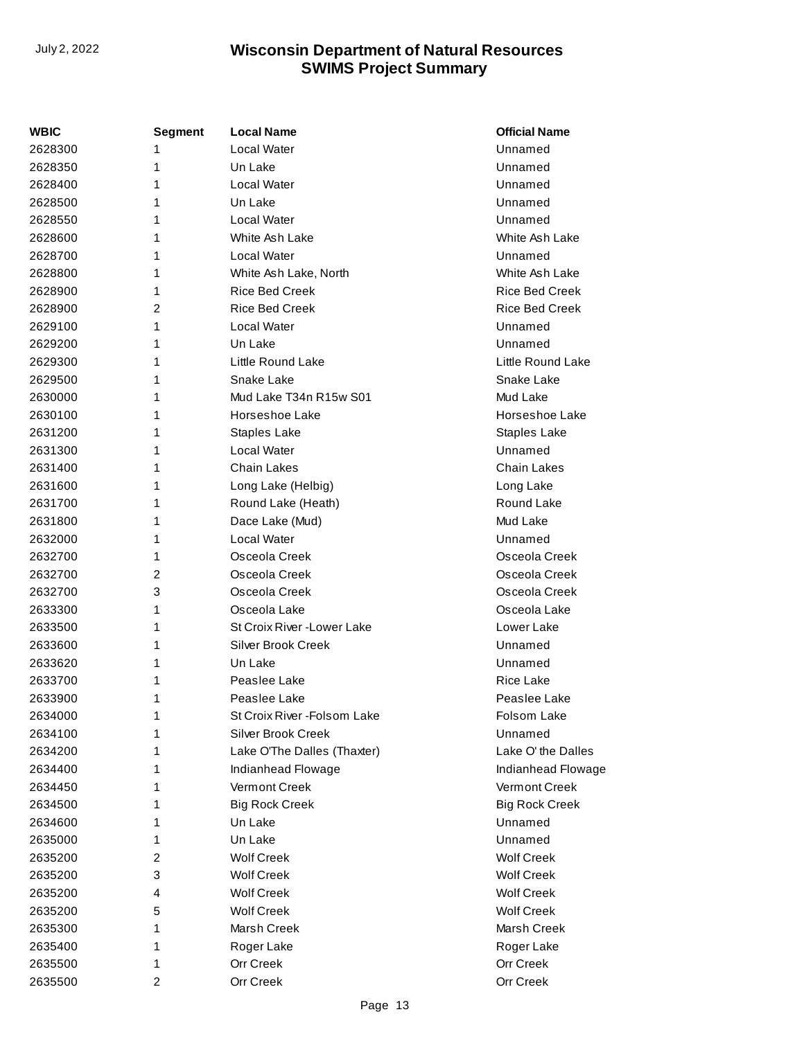| WBIC    | Segment | <b>Local Name</b>            | <b>Official Name</b>  |
|---------|---------|------------------------------|-----------------------|
| 2628300 | 1       | Local Water                  | Unnamed               |
| 2628350 | 1       | Un Lake                      | Unnamed               |
| 2628400 | 1       | <b>Local Water</b>           | Unnamed               |
| 2628500 | 1       | Un Lake                      | Unnamed               |
| 2628550 | 1       | Local Water                  | Unnamed               |
| 2628600 | 1       | White Ash Lake               | White Ash Lake        |
| 2628700 | 1       | Local Water                  | Unnamed               |
| 2628800 | 1       | White Ash Lake, North        | White Ash Lake        |
| 2628900 | 1       | <b>Rice Bed Creek</b>        | <b>Rice Bed Creek</b> |
| 2628900 | 2       | <b>Rice Bed Creek</b>        | Rice Bed Creek        |
| 2629100 | 1       | <b>Local Water</b>           | Unnamed               |
| 2629200 | 1       | Un Lake                      | Unnamed               |
| 2629300 | 1       | Little Round Lake            | Little Round Lake     |
| 2629500 | 1       | Snake Lake                   | Snake Lake            |
| 2630000 | 1       | Mud Lake T34n R15w S01       | Mud Lake              |
| 2630100 | 1       | Horseshoe Lake               | Horseshoe Lake        |
| 2631200 | 1       | Staples Lake                 | Staples Lake          |
| 2631300 | 1       | Local Water                  | Unnamed               |
| 2631400 | 1       | <b>Chain Lakes</b>           | Chain Lakes           |
| 2631600 | 1       | Long Lake (Helbig)           | Long Lake             |
| 2631700 | 1       | Round Lake (Heath)           | Round Lake            |
| 2631800 | 1       | Dace Lake (Mud)              | Mud Lake              |
| 2632000 | 1       | <b>Local Water</b>           | Unnamed               |
| 2632700 | 1       | Osceola Creek                | Osceola Creek         |
| 2632700 | 2       | Osceola Creek                | Osceola Creek         |
| 2632700 | 3       | Osceola Creek                | Osceola Creek         |
| 2633300 | 1       | Osceola Lake                 | Osceola Lake          |
| 2633500 | 1       | St Croix River - Lower Lake  | Lower Lake            |
| 2633600 | 1       | <b>Silver Brook Creek</b>    | Unnamed               |
| 2633620 | 1       | Un Lake                      | Unnamed               |
| 2633700 | 1       | Peaslee Lake                 | Rice Lake             |
| 2633900 | 1       | Peaslee Lake                 | Peaslee Lake          |
| 2634000 | 1       | St Croix River - Folsom Lake | Folsom Lake           |
| 2634100 | 1       | <b>Silver Brook Creek</b>    | Unnamed               |
| 2634200 | 1       | Lake O'The Dalles (Thaxter)  | Lake O' the Dalles    |
| 2634400 | 1       | Indianhead Flowage           | Indianhead Flowage    |
| 2634450 | 1       | Vermont Creek                | Vermont Creek         |
| 2634500 | 1       | <b>Big Rock Creek</b>        | <b>Big Rock Creek</b> |
| 2634600 | 1       | Un Lake                      | Unnamed               |
| 2635000 | 1       | Un Lake                      | Unnamed               |
| 2635200 | 2       | <b>Wolf Creek</b>            | <b>Wolf Creek</b>     |
| 2635200 | 3       | <b>Wolf Creek</b>            | <b>Wolf Creek</b>     |
| 2635200 | 4       | <b>Wolf Creek</b>            | <b>Wolf Creek</b>     |
| 2635200 | 5       | <b>Wolf Creek</b>            | <b>Wolf Creek</b>     |
| 2635300 | 1       | Marsh Creek                  | Marsh Creek           |
| 2635400 | 1       | Roger Lake                   | Roger Lake            |
| 2635500 | 1       | Orr Creek                    | Orr Creek             |
| 2635500 | 2       | Orr Creek                    | Orr Creek             |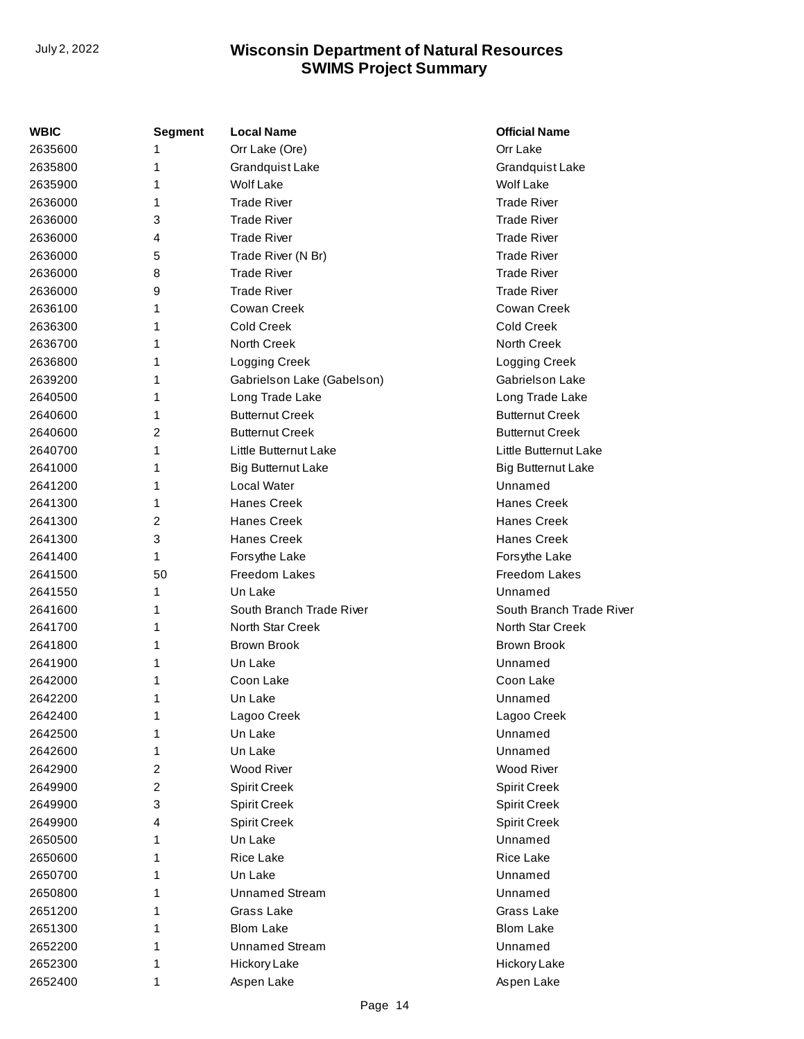| WBIC    | <b>Segment</b> | <b>Local Name</b>          | <b>Official Name</b>      |
|---------|----------------|----------------------------|---------------------------|
| 2635600 | 1              | Orr Lake (Ore)             | Orr Lake                  |
| 2635800 | 1              | Grandquist Lake            | Grandquist Lake           |
| 2635900 | 1              | <b>Wolf Lake</b>           | <b>Wolf Lake</b>          |
| 2636000 | 1              | <b>Trade River</b>         | <b>Trade River</b>        |
| 2636000 | 3              | <b>Trade River</b>         | <b>Trade River</b>        |
| 2636000 | 4              | <b>Trade River</b>         | <b>Trade River</b>        |
| 2636000 | 5              | Trade River (N Br)         | <b>Trade River</b>        |
| 2636000 | 8              | <b>Trade River</b>         | <b>Trade River</b>        |
| 2636000 | 9              | <b>Trade River</b>         | <b>Trade River</b>        |
| 2636100 | 1              | Cowan Creek                | Cowan Creek               |
| 2636300 | 1              | Cold Creek                 | Cold Creek                |
| 2636700 | 1              | North Creek                | North Creek               |
| 2636800 | 1              | Logging Creek              | Logging Creek             |
| 2639200 | 1              | Gabrielson Lake (Gabelson) | Gabriels on Lake          |
| 2640500 | 1              | Long Trade Lake            | Long Trade Lake           |
| 2640600 | 1              | <b>Butternut Creek</b>     | <b>Butternut Creek</b>    |
| 2640600 | 2              | <b>Butternut Creek</b>     | <b>Butternut Creek</b>    |
| 2640700 | 1              | Little Butternut Lake      | Little Butternut Lake     |
| 2641000 | 1              | <b>Big Butternut Lake</b>  | <b>Big Butternut Lake</b> |
| 2641200 | 1              | Local Water                | Unnamed                   |
| 2641300 | 1              | <b>Hanes Creek</b>         | <b>Hanes Creek</b>        |
| 2641300 | 2              | <b>Hanes Creek</b>         | <b>Hanes Creek</b>        |
| 2641300 | 3              | <b>Hanes Creek</b>         | Hanes Creek               |
| 2641400 | 1              | Forsythe Lake              | Forsythe Lake             |
| 2641500 | 50             | Freedom Lakes              | Freedom Lakes             |
| 2641550 | 1              | Un Lake                    | Unnamed                   |
| 2641600 | 1              | South Branch Trade River   | South Branch Trade River  |
| 2641700 | 1              | North Star Creek           | North Star Creek          |
| 2641800 | 1              | <b>Brown Brook</b>         | <b>Brown Brook</b>        |
| 2641900 | 1              | Un Lake                    | Unnamed                   |
| 2642000 | 1              | Coon Lake                  | Coon Lake                 |
| 2642200 | 1              | Un Lake                    | Unnamed                   |
| 2642400 | 1              | Lagoo Creek                | Lagoo Creek               |
| 2642500 | 1              | Un Lake                    | Unnamed                   |
| 2642600 | 1              | Un Lake                    | Unnamed                   |
| 2642900 | 2              | Wood River                 | Wood River                |
| 2649900 | 2              | Spirit Creek               | <b>Spirit Creek</b>       |
| 2649900 | 3              | Spirit Creek               | <b>Spirit Creek</b>       |
| 2649900 | 4              | Spirit Creek               | <b>Spirit Creek</b>       |
| 2650500 | 1              | Un Lake                    | Unnamed                   |
| 2650600 | 1              | Rice Lake                  | Rice Lake                 |
| 2650700 | 1              | Un Lake                    | Unnamed                   |
| 2650800 | 1              | <b>Unnamed Stream</b>      | Unnamed                   |
| 2651200 | 1              | Grass Lake                 | Grass Lake                |
| 2651300 | 1              | <b>Blom Lake</b>           | <b>Blom Lake</b>          |
| 2652200 | 1              | <b>Unnamed Stream</b>      | Unnamed                   |
| 2652300 | 1              | Hickory Lake               | Hickory Lake              |
| 2652400 | 1              | Aspen Lake                 | Aspen Lake                |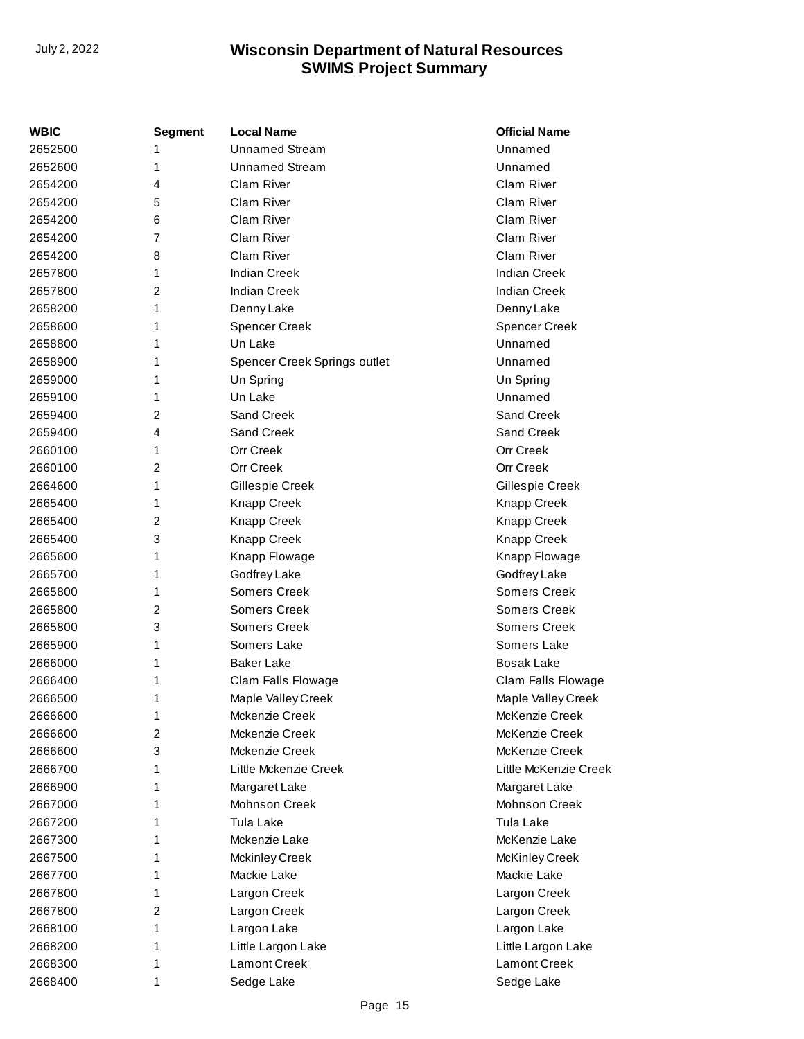| WBIC    | <b>Segment</b> | <b>Local Name</b>            | <b>Official Name</b>  |
|---------|----------------|------------------------------|-----------------------|
| 2652500 | 1              | <b>Unnamed Stream</b>        | Unnamed               |
| 2652600 | 1              | <b>Unnamed Stream</b>        | Unnamed               |
| 2654200 | 4              | Clam River                   | Clam River            |
| 2654200 | 5              | Clam River                   | Clam River            |
| 2654200 | 6              | Clam River                   | Clam River            |
| 2654200 | $\overline{7}$ | Clam River                   | Clam River            |
| 2654200 | 8              | Clam River                   | Clam River            |
| 2657800 | 1              | <b>Indian Creek</b>          | <b>Indian Creek</b>   |
| 2657800 | 2              | <b>Indian Creek</b>          | <b>Indian Creek</b>   |
| 2658200 | 1              | Denny Lake                   | Denny Lake            |
| 2658600 | 1              | <b>Spencer Creek</b>         | <b>Spencer Creek</b>  |
| 2658800 | 1              | Un Lake                      | Unnamed               |
| 2658900 | 1              | Spencer Creek Springs outlet | Unnamed               |
| 2659000 | 1              | Un Spring                    | Un Spring             |
| 2659100 | 1              | Un Lake                      | Unnamed               |
| 2659400 | $\overline{2}$ | Sand Creek                   | Sand Creek            |
| 2659400 | 4              | Sand Creek                   | Sand Creek            |
| 2660100 | 1              | <b>Orr Creek</b>             | <b>Orr Creek</b>      |
| 2660100 | $\overline{2}$ | <b>Orr Creek</b>             | Orr Creek             |
| 2664600 | 1              | Gillespie Creek              | Gillespie Creek       |
| 2665400 | 1              | Knapp Creek                  | <b>Knapp Creek</b>    |
| 2665400 | 2              | Knapp Creek                  | <b>Knapp Creek</b>    |
| 2665400 | 3              | Knapp Creek                  | <b>Knapp Creek</b>    |
| 2665600 | 1              | Knapp Flowage                | Knapp Flowage         |
| 2665700 | 1              | Godfrey Lake                 | Godfrey Lake          |
| 2665800 | 1              | Somers Creek                 | Somers Creek          |
| 2665800 | $\overline{c}$ | Somers Creek                 | Somers Creek          |
| 2665800 | 3              | Somers Creek                 | Somers Creek          |
| 2665900 | 1              | Somers Lake                  | Somers Lake           |
| 2666000 | 1              | <b>Baker Lake</b>            | <b>Bosak Lake</b>     |
| 2666400 | 1              | Clam Falls Flowage           | Clam Falls Flowage    |
| 2666500 | 1              | Maple Valley Creek           | Maple Valley Creek    |
| 2666600 | 1              | Mckenzie Creek               | McKenzie Creek        |
| 2666600 | 2              | Mckenzie Creek               | McKenzie Creek        |
| 2666600 | 3              | Mckenzie Creek               | McKenzie Creek        |
| 2666700 | 1              | Little Mckenzie Creek        | Little McKenzie Creek |
| 2666900 | 1              | Margaret Lake                | Margaret Lake         |
| 2667000 | 1              | Mohnson Creek                | Mohnson Creek         |
| 2667200 | 1              | Tula Lake                    | Tula Lake             |
| 2667300 | 1              | Mckenzie Lake                | McKenzie Lake         |
| 2667500 | 1              | <b>Mckinley Creek</b>        | McKinley Creek        |
| 2667700 | 1              | Mackie Lake                  | Mackie Lake           |
| 2667800 | 1              | Largon Creek                 | Largon Creek          |
| 2667800 | $\overline{2}$ | Largon Creek                 | Largon Creek          |
| 2668100 | 1              | Largon Lake                  | Largon Lake           |
| 2668200 | 1              | Little Largon Lake           | Little Largon Lake    |
| 2668300 | 1              | <b>Lamont Creek</b>          | <b>Lamont Creek</b>   |
| 2668400 | 1              | Sedge Lake                   | Sedge Lake            |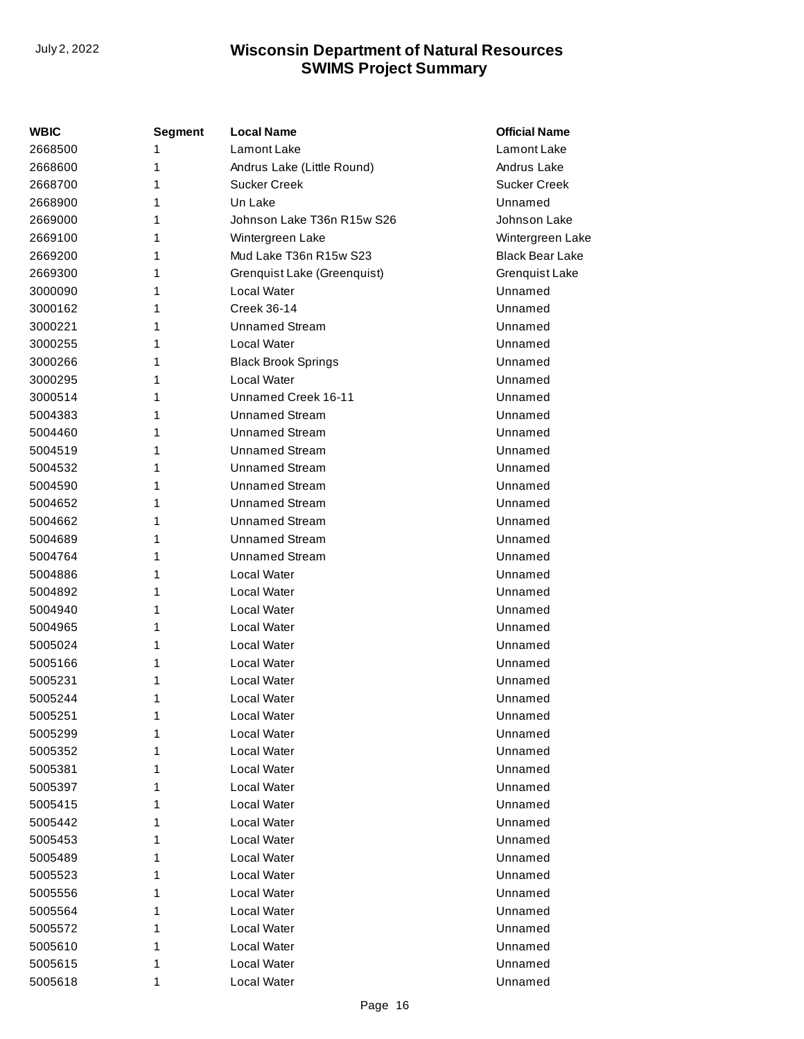| <b>WBIC</b> | Segment | <b>Local Name</b>           | <b>Official Name</b>   |
|-------------|---------|-----------------------------|------------------------|
| 2668500     | 1       | Lamont Lake                 | Lamont Lake            |
| 2668600     | 1       | Andrus Lake (Little Round)  | Andrus Lake            |
| 2668700     | 1       | Sucker Creek                | <b>Sucker Creek</b>    |
| 2668900     | 1       | Un Lake                     | Unnamed                |
| 2669000     | 1       | Johnson Lake T36n R15w S26  | Johnson Lake           |
| 2669100     | 1       | Wintergreen Lake            | Wintergreen Lake       |
| 2669200     | 1       | Mud Lake T36n R15w S23      | <b>Black Bear Lake</b> |
| 2669300     | 1       | Grenquist Lake (Greenquist) | Grenquist Lake         |
| 3000090     | 1       | Local Water                 | Unnamed                |
| 3000162     | 1       | Creek 36-14                 | Unnamed                |
| 3000221     | 1       | Unnamed Stream              | Unnamed                |
| 3000255     | 1       | Local Water                 | Unnamed                |
| 3000266     | 1       | <b>Black Brook Springs</b>  | Unnamed                |
| 3000295     | 1       | Local Water                 | Unnamed                |
| 3000514     | 1       | Unnamed Creek 16-11         | Unnamed                |
| 5004383     | 1       | <b>Unnamed Stream</b>       | Unnamed                |
| 5004460     | 1       | <b>Unnamed Stream</b>       | Unnamed                |
| 5004519     | 1       | <b>Unnamed Stream</b>       | Unnamed                |
| 5004532     | 1       | Unnamed Stream              | Unnamed                |
| 5004590     | 1       | <b>Unnamed Stream</b>       | Unnamed                |
| 5004652     | 1       | <b>Unnamed Stream</b>       | Unnamed                |
| 5004662     | 1       | <b>Unnamed Stream</b>       | Unnamed                |
| 5004689     | 1       | Unnamed Stream              | Unnamed                |
| 5004764     | 1       | Unnamed Stream              | Unnamed                |
| 5004886     | 1       | Local Water                 | Unnamed                |
| 5004892     | 1       | <b>Local Water</b>          | Unnamed                |
| 5004940     | 1       | Local Water                 | Unnamed                |
| 5004965     | 1       | <b>Local Water</b>          | Unnamed                |
| 5005024     | 1       | <b>Local Water</b>          | Unnamed                |
| 5005166     | 1       | <b>Local Water</b>          | Unnamed                |
| 5005231     | 1       | <b>Local Water</b>          | Unnamed                |
| 5005244     | 1       | Local Water                 | Unnamed                |
| 5005251     | 1       | Local Water                 | Unnamed                |
| 5005299     | 1       | <b>Local Water</b>          | Unnamed                |
| 5005352     | 1       | <b>Local Water</b>          | Unnamed                |
| 5005381     | 1       | Local Water                 | Unnamed                |
| 5005397     | 1       | Local Water                 | Unnamed                |
| 5005415     | 1       | <b>Local Water</b>          | Unnamed                |
| 5005442     | 1       | <b>Local Water</b>          | Unnamed                |
| 5005453     | 1       | <b>Local Water</b>          | Unnamed                |
| 5005489     | 1       | <b>Local Water</b>          | Unnamed                |
| 5005523     | 1       | <b>Local Water</b>          | Unnamed                |
| 5005556     | 1       | <b>Local Water</b>          | Unnamed                |
| 5005564     | 1       | <b>Local Water</b>          | Unnamed                |
| 5005572     | 1       | <b>Local Water</b>          | Unnamed                |
| 5005610     | 1       | <b>Local Water</b>          | Unnamed                |
| 5005615     | 1       | <b>Local Water</b>          | Unnamed                |
| 5005618     | 1       | Local Water                 | Unnamed                |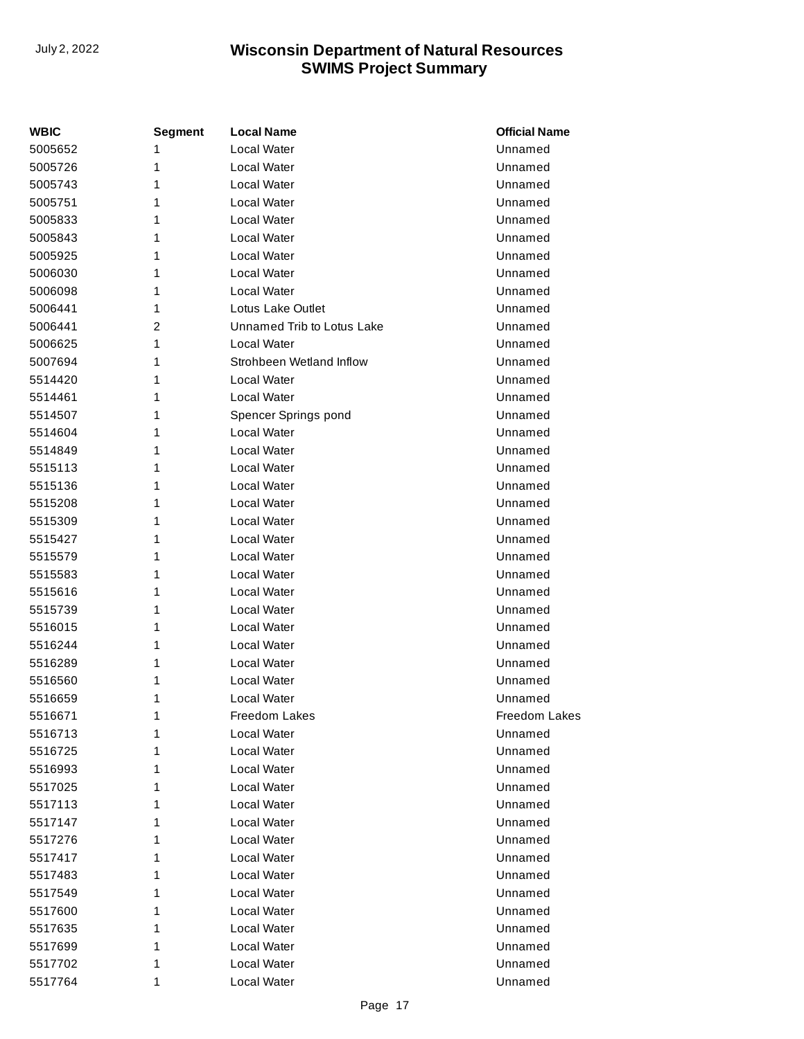| WBIC    | Segment | <b>Local Name</b>          | <b>Official Name</b> |
|---------|---------|----------------------------|----------------------|
| 5005652 | 1       | Local Water                | Unnamed              |
| 5005726 | 1       | <b>Local Water</b>         | Unnamed              |
| 5005743 | 1       | <b>Local Water</b>         | Unnamed              |
| 5005751 | 1       | <b>Local Water</b>         | Unnamed              |
| 5005833 | 1       | Local Water                | Unnamed              |
| 5005843 | 1       | <b>Local Water</b>         | Unnamed              |
| 5005925 | 1       | <b>Local Water</b>         | Unnamed              |
| 5006030 | 1       | <b>Local Water</b>         | Unnamed              |
| 5006098 | 1       | Local Water                | Unnamed              |
| 5006441 | 1       | Lotus Lake Outlet          | Unnamed              |
| 5006441 | 2       | Unnamed Trib to Lotus Lake | Unnamed              |
| 5006625 | 1       | <b>Local Water</b>         | Unnamed              |
| 5007694 | 1       | Strohbeen Wetland Inflow   | Unnamed              |
| 5514420 | 1       | Local Water                | Unnamed              |
| 5514461 | 1       | Local Water                | Unnamed              |
| 5514507 | 1       | Spencer Springs pond       | Unnamed              |
| 5514604 | 1       | Local Water                | Unnamed              |
| 5514849 | 1       | <b>Local Water</b>         | Unnamed              |
| 5515113 | 1       | <b>Local Water</b>         | Unnamed              |
| 5515136 | 1       | <b>Local Water</b>         | Unnamed              |
| 5515208 | 1       | Local Water                | Unnamed              |
| 5515309 | 1       | Local Water                | Unnamed              |
| 5515427 | 1       | Local Water                | Unnamed              |
| 5515579 | 1       | <b>Local Water</b>         | Unnamed              |
| 5515583 | 1       | Local Water                | Unnamed              |
| 5515616 | 1       | <b>Local Water</b>         | Unnamed              |
| 5515739 | 1       | <b>Local Water</b>         | Unnamed              |
| 5516015 | 1       | <b>Local Water</b>         | Unnamed              |
| 5516244 | 1       | Local Water                | Unnamed              |
| 5516289 | 1       | Local Water                | Unnamed              |
| 5516560 | 1       | Local Water                | Unnamed              |
| 5516659 | 1       | Local Water                | Unnamed              |
| 5516671 | 1       | Freedom Lakes              | <b>Freedom Lakes</b> |
| 5516713 | 1       | Local Water                | Unnamed              |
| 5516725 | 1       | Local Water                | Unnamed              |
| 5516993 | 1       | <b>Local Water</b>         | Unnamed              |
| 5517025 | 1       | Local Water                | Unnamed              |
| 5517113 | 1       | <b>Local Water</b>         | Unnamed              |
| 5517147 | 1       | <b>Local Water</b>         | Unnamed              |
| 5517276 | 1       | <b>Local Water</b>         | Unnamed              |
| 5517417 | 1       | Local Water                | Unnamed              |
| 5517483 | 1       | Local Water                | Unnamed              |
| 5517549 | 1       | Local Water                | Unnamed              |
| 5517600 | 1       | <b>Local Water</b>         | Unnamed              |
| 5517635 | 1       | Local Water                | Unnamed              |
| 5517699 | 1       | Local Water                | Unnamed              |
| 5517702 | 1       | Local Water                | Unnamed              |
| 5517764 | 1       | Local Water                | Unnamed              |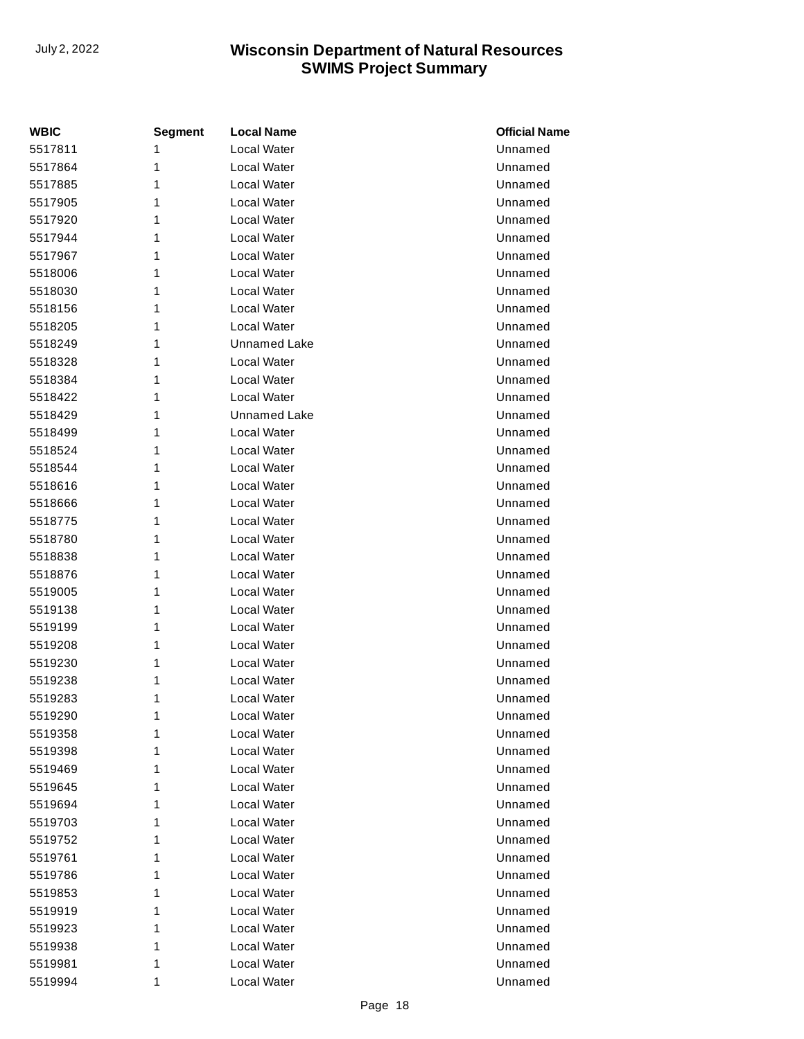| <b>WBIC</b> | <b>Segment</b> | <b>Local Name</b>   | <b>Official Name</b> |
|-------------|----------------|---------------------|----------------------|
| 5517811     | 1              | Local Water         | Unnamed              |
| 5517864     | 1              | <b>Local Water</b>  | Unnamed              |
| 5517885     | 1              | <b>Local Water</b>  | Unnamed              |
| 5517905     | 1              | Local Water         | Unnamed              |
| 5517920     | 1              | Local Water         | Unnamed              |
| 5517944     | 1              | Local Water         | Unnamed              |
| 5517967     | 1              | <b>Local Water</b>  | Unnamed              |
| 5518006     | 1              | Local Water         | Unnamed              |
| 5518030     | 1              | Local Water         | Unnamed              |
| 5518156     | 1              | <b>Local Water</b>  | Unnamed              |
| 5518205     | 1              | Local Water         | Unnamed              |
| 5518249     | 1              | <b>Unnamed Lake</b> | Unnamed              |
| 5518328     | 1              | Local Water         | Unnamed              |
| 5518384     | 1              | Local Water         | Unnamed              |
| 5518422     | 1              | <b>Local Water</b>  | Unnamed              |
| 5518429     | 1              | <b>Unnamed Lake</b> | Unnamed              |
| 5518499     | 1              | Local Water         | Unnamed              |
| 5518524     | 1              | <b>Local Water</b>  | Unnamed              |
| 5518544     | 1              | <b>Local Water</b>  | Unnamed              |
| 5518616     | 1              | <b>Local Water</b>  | Unnamed              |
| 5518666     | 1              | Local Water         | Unnamed              |
| 5518775     | 1              | Local Water         | Unnamed              |
| 5518780     | 1              | <b>Local Water</b>  | Unnamed              |
| 5518838     | 1              | Local Water         | Unnamed              |
| 5518876     | 1              | Local Water         | Unnamed              |
| 5519005     | 1              | Local Water         | Unnamed              |
| 5519138     | 1              | <b>Local Water</b>  | Unnamed              |
| 5519199     | 1              | <b>Local Water</b>  | Unnamed              |
| 5519208     | 1              | Local Water         | Unnamed              |
| 5519230     | 1              | Local Water         | Unnamed              |
| 5519238     | 1              | Local Water         | Unnamed              |
| 5519283     | 1              | Local Water         | Unnamed              |
| 5519290     | 1              | <b>Local Water</b>  | Unnamed              |
| 5519358     | 1              | Local Water         | Unnamed              |
| 5519398     | 1              | Local Water         | Unnamed              |
| 5519469     | 1              | Local Water         | Unnamed              |
| 5519645     | 1              | Local Water         | Unnamed              |
| 5519694     | 1              | Local Water         | Unnamed              |
| 5519703     | 1              | <b>Local Water</b>  | Unnamed              |
| 5519752     | 1              | Local Water         | Unnamed              |
| 5519761     | 1              | Local Water         | Unnamed              |
| 5519786     | 1              | Local Water         | Unnamed              |
| 5519853     | 1              | Local Water         | Unnamed              |
| 5519919     | 1              | Local Water         | Unnamed              |
| 5519923     | 1              | Local Water         | Unnamed              |
| 5519938     | 1              | Local Water         | Unnamed              |
| 5519981     | 1              | Local Water         | Unnamed              |
| 5519994     | 1              | Local Water         | Unnamed              |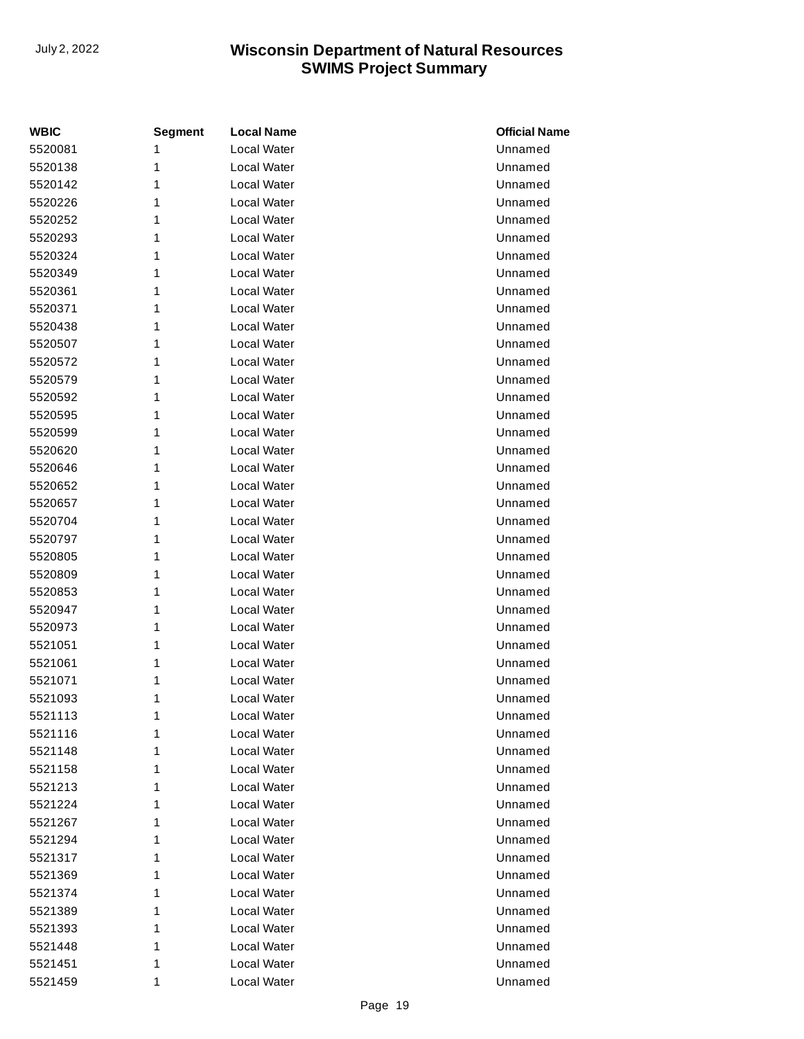| <b>WBIC</b> | <b>Segment</b> | <b>Local Name</b>  | <b>Official Name</b> |
|-------------|----------------|--------------------|----------------------|
| 5520081     | 1              | <b>Local Water</b> | Unnamed              |
| 5520138     | 1              | Local Water        | Unnamed              |
| 5520142     | 1              | Local Water        | Unnamed              |
| 5520226     | 1              | Local Water        | Unnamed              |
| 5520252     | 1              | Local Water        | Unnamed              |
| 5520293     | 1              | <b>Local Water</b> | Unnamed              |
| 5520324     | 1              | Local Water        | Unnamed              |
| 5520349     | 1              | Local Water        | Unnamed              |
| 5520361     | 1              | Local Water        | Unnamed              |
| 5520371     | 1              | Local Water        | Unnamed              |
| 5520438     | 1              | Local Water        | Unnamed              |
| 5520507     | 1              | Local Water        | Unnamed              |
| 5520572     | 1              | Local Water        | Unnamed              |
| 5520579     | 1              | <b>Local Water</b> | Unnamed              |
| 5520592     | 1              | Local Water        | Unnamed              |
| 5520595     | 1              | Local Water        | Unnamed              |
| 5520599     | 1              | Local Water        | Unnamed              |
| 5520620     | 1              | Local Water        | Unnamed              |
| 5520646     | 1              | Local Water        | Unnamed              |
| 5520652     | 1              | Local Water        | Unnamed              |
| 5520657     | 1              | Local Water        | Unnamed              |
| 5520704     | 1              | <b>Local Water</b> | Unnamed              |
| 5520797     | 1              | Local Water        | Unnamed              |
| 5520805     | 1              | Local Water        | Unnamed              |
| 5520809     | 1              | Local Water        | Unnamed              |
| 5520853     | 1              | Local Water        | Unnamed              |
| 5520947     | 1              | Local Water        | Unnamed              |
| 5520973     | 1              | Local Water        | Unnamed              |
| 5521051     | 1              | Local Water        | Unnamed              |
| 5521061     | 1              | Local Water        | Unnamed              |
| 5521071     | 1              | Local Water        | Unnamed              |
| 5521093     | 1              | Local Water        | Unnamed              |
| 5521113     | 1              | Local Water        | Unnamed              |
| 5521116     | 1              | Local Water        | Unnamed              |
| 5521148     | 1              | Local Water        | Unnamed              |
| 5521158     | 1              | Local Water        | Unnamed              |
| 5521213     | 1              | Local Water        | Unnamed              |
| 5521224     | 1              | Local Water        | Unnamed              |
| 5521267     | 1              | Local Water        | Unnamed              |
| 5521294     | 1              | Local Water        | Unnamed              |
| 5521317     | 1              | Local Water        | Unnamed              |
| 5521369     | 1              | Local Water        | Unnamed              |
| 5521374     | 1              | Local Water        | Unnamed              |
| 5521389     | 1              | Local Water        | Unnamed              |
| 5521393     | 1              | Local Water        | Unnamed              |
| 5521448     | 1              | Local Water        | Unnamed              |
| 5521451     | 1              | Local Water        | Unnamed              |
| 5521459     | 1              | Local Water        | Unnamed              |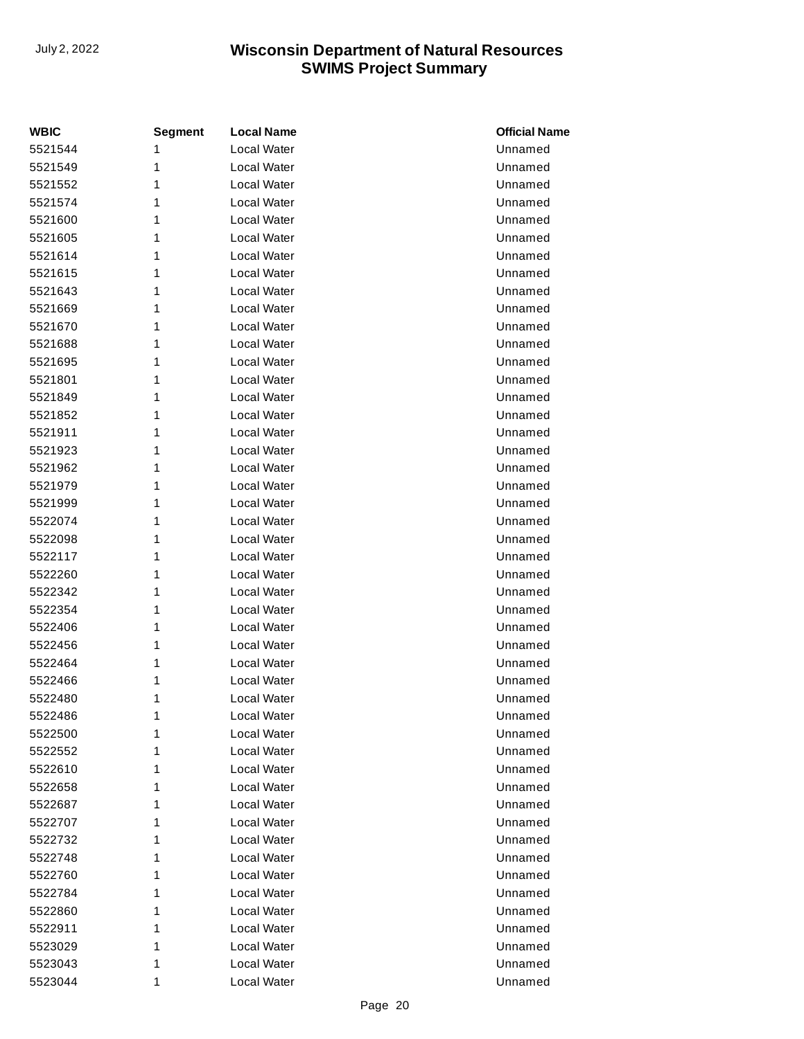| <b>WBIC</b> | <b>Segment</b> | <b>Local Name</b> | <b>Official Name</b> |
|-------------|----------------|-------------------|----------------------|
| 5521544     | 1              | Local Water       | Unnamed              |
| 5521549     | 1              | Local Water       | Unnamed              |
| 5521552     | 1              | Local Water       | Unnamed              |
| 5521574     | 1              | Local Water       | Unnamed              |
| 5521600     | 1              | Local Water       | Unnamed              |
| 5521605     | 1              | Local Water       | Unnamed              |
| 5521614     | 1              | Local Water       | Unnamed              |
| 5521615     | 1              | Local Water       | Unnamed              |
| 5521643     | 1              | Local Water       | Unnamed              |
| 5521669     | 1              | Local Water       | Unnamed              |
| 5521670     | 1              | Local Water       | Unnamed              |
| 5521688     | 1              | Local Water       | Unnamed              |
| 5521695     | 1              | Local Water       | Unnamed              |
| 5521801     | 1              | Local Water       | Unnamed              |
| 5521849     | 1              | Local Water       | Unnamed              |
| 5521852     | 1              | Local Water       | Unnamed              |
| 5521911     | 1              | Local Water       | Unnamed              |
| 5521923     | 1              | Local Water       | Unnamed              |
| 5521962     | 1              | Local Water       | Unnamed              |
| 5521979     | 1              | Local Water       | Unnamed              |
| 5521999     | 1              | Local Water       | Unnamed              |
| 5522074     | 1              | Local Water       | Unnamed              |
| 5522098     | 1              | Local Water       | Unnamed              |
| 5522117     | 1              | Local Water       | Unnamed              |
| 5522260     | 1              | Local Water       | Unnamed              |
| 5522342     | 1              | Local Water       | Unnamed              |
| 5522354     | 1              | Local Water       | Unnamed              |
| 5522406     | 1              | Local Water       | Unnamed              |
| 5522456     | 1              | Local Water       | Unnamed              |
| 5522464     | 1              | Local Water       | Unnamed              |
| 5522466     | 1              | Local Water       | Unnamed              |
| 5522480     | 1              | Local Water       | Unnamed              |
| 5522486     | 1              | Local Water       | Unnamed              |
| 5522500     | 1              | Local Water       | Unnamed              |
| 5522552     | 1              | Local Water       | Unnamed              |
| 5522610     | 1              | Local Water       | Unnamed              |
| 5522658     | 1              | Local Water       | Unnamed              |
| 5522687     | 1              | Local Water       | Unnamed              |
| 5522707     | 1              | Local Water       | Unnamed              |
| 5522732     | 1              | Local Water       | Unnamed              |
| 5522748     | 1              | Local Water       | Unnamed              |
| 5522760     | 1              | Local Water       | Unnamed              |
| 5522784     | 1              | Local Water       | Unnamed              |
| 5522860     | 1              | Local Water       | Unnamed              |
| 5522911     | 1              | Local Water       | Unnamed              |
| 5523029     | 1              | Local Water       | Unnamed              |
| 5523043     | 1              | Local Water       | Unnamed              |
| 5523044     | 1              | Local Water       | Unnamed              |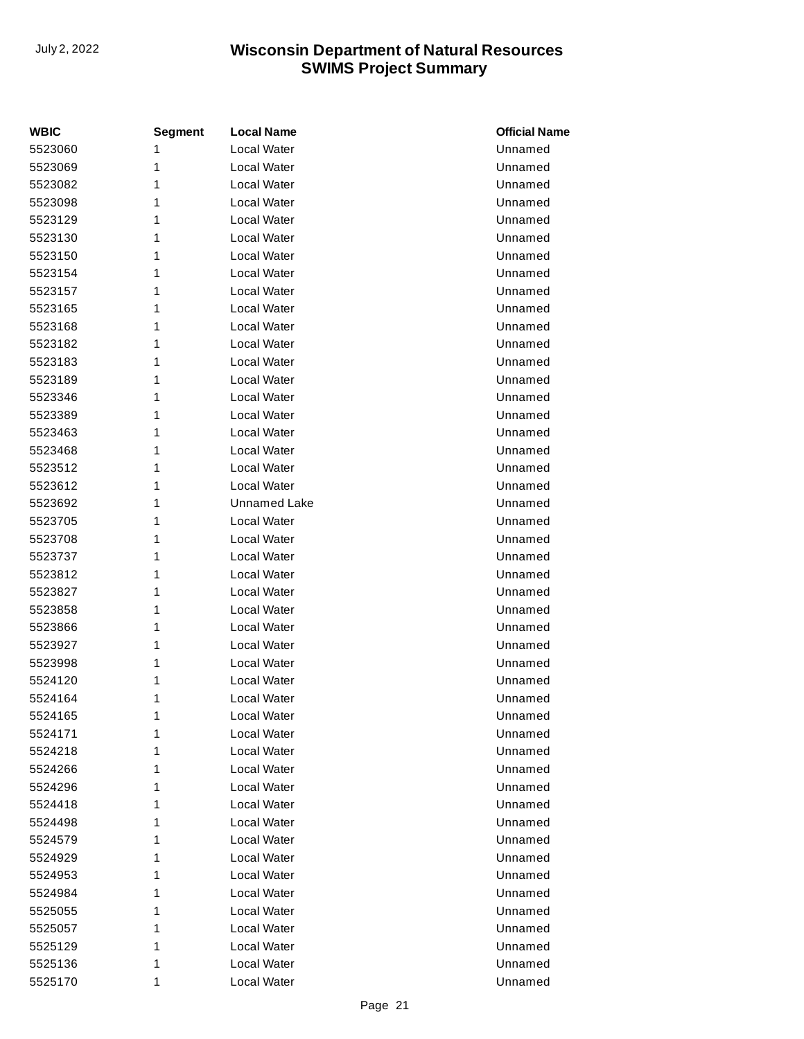| <b>WBIC</b> | <b>Segment</b> | <b>Local Name</b>  | <b>Official Name</b> |
|-------------|----------------|--------------------|----------------------|
| 5523060     | 1              | <b>Local Water</b> | Unnamed              |
| 5523069     | 1              | Local Water        | Unnamed              |
| 5523082     | 1              | Local Water        | Unnamed              |
| 5523098     | 1              | Local Water        | Unnamed              |
| 5523129     | 1              | Local Water        | Unnamed              |
| 5523130     | 1              | <b>Local Water</b> | Unnamed              |
| 5523150     | 1              | Local Water        | Unnamed              |
| 5523154     | 1              | Local Water        | Unnamed              |
| 5523157     | 1              | Local Water        | Unnamed              |
| 5523165     | 1              | Local Water        | Unnamed              |
| 5523168     | 1              | Local Water        | Unnamed              |
| 5523182     | 1              | Local Water        | Unnamed              |
| 5523183     | 1              | Local Water        | Unnamed              |
| 5523189     | 1              | <b>Local Water</b> | Unnamed              |
| 5523346     | 1              | Local Water        | Unnamed              |
| 5523389     | 1              | Local Water        | Unnamed              |
| 5523463     | 1              | Local Water        | Unnamed              |
| 5523468     | 1              | Local Water        | Unnamed              |
| 5523512     | 1              | Local Water        | Unnamed              |
| 5523612     | 1              | Local Water        | Unnamed              |
| 5523692     | 1              | Unnamed Lake       | Unnamed              |
| 5523705     | 1              | Local Water        | Unnamed              |
| 5523708     | 1              | Local Water        | Unnamed              |
| 5523737     | 1              | Local Water        | Unnamed              |
| 5523812     | 1              | Local Water        | Unnamed              |
| 5523827     | 1              | Local Water        | Unnamed              |
| 5523858     | 1              | Local Water        | Unnamed              |
| 5523866     | 1              | Local Water        | Unnamed              |
| 5523927     | 1              | Local Water        | Unnamed              |
| 5523998     | 1              | <b>Local Water</b> | Unnamed              |
| 5524120     | 1              | Local Water        | Unnamed              |
| 5524164     | 1              | Local Water        | Unnamed              |
| 5524165     | 1              | Local Water        | Unnamed              |
| 5524171     | 1              | Local Water        | Unnamed              |
| 5524218     | 1              | Local Water        | Unnamed              |
| 5524266     | 1              | Local Water        | Unnamed              |
| 5524296     | 1              | Local Water        | Unnamed              |
| 5524418     | 1              | Local Water        | Unnamed              |
| 5524498     | 1              | Local Water        | Unnamed              |
| 5524579     | 1              | Local Water        | Unnamed              |
| 5524929     | 1              | Local Water        | Unnamed              |
| 5524953     | 1              | Local Water        | Unnamed              |
| 5524984     | 1              | Local Water        | Unnamed              |
| 5525055     | 1              | Local Water        | Unnamed              |
| 5525057     | 1              | Local Water        | Unnamed              |
| 5525129     | 1              | Local Water        | Unnamed              |
| 5525136     | 1              | Local Water        | Unnamed              |
| 5525170     | 1              | Local Water        | Unnamed              |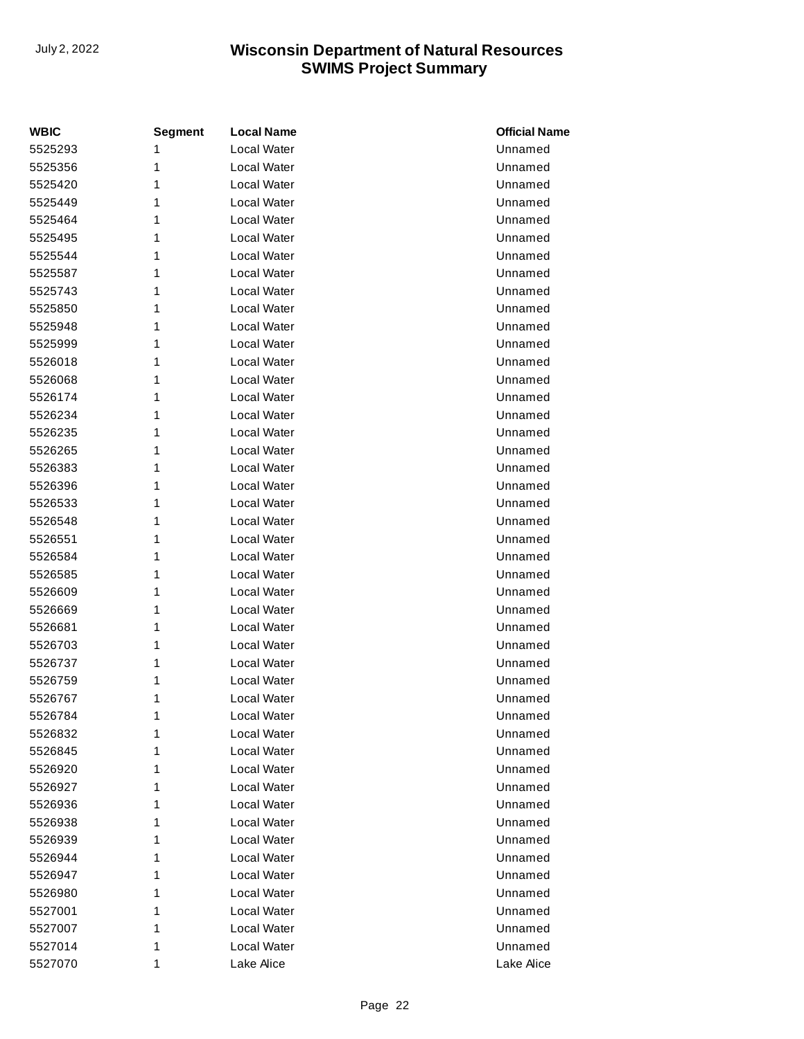| <b>WBIC</b> | <b>Segment</b> | <b>Local Name</b> | <b>Official Name</b> |
|-------------|----------------|-------------------|----------------------|
| 5525293     | 1              | Local Water       | Unnamed              |
| 5525356     | 1              | Local Water       | Unnamed              |
| 5525420     | 1              | Local Water       | Unnamed              |
| 5525449     | 1              | Local Water       | Unnamed              |
| 5525464     | 1              | Local Water       | Unnamed              |
| 5525495     | 1              | Local Water       | Unnamed              |
| 5525544     | 1              | Local Water       | Unnamed              |
| 5525587     | 1              | Local Water       | Unnamed              |
| 5525743     | 1              | Local Water       | Unnamed              |
| 5525850     | 1              | Local Water       | Unnamed              |
| 5525948     | 1              | Local Water       | Unnamed              |
| 5525999     | 1              | Local Water       | Unnamed              |
| 5526018     | 1              | Local Water       | Unnamed              |
| 5526068     | 1              | Local Water       | Unnamed              |
| 5526174     | 1              | Local Water       | Unnamed              |
| 5526234     | 1              | Local Water       | Unnamed              |
| 5526235     | 1              | Local Water       | Unnamed              |
| 5526265     | 1              | Local Water       | Unnamed              |
| 5526383     | 1              | Local Water       | Unnamed              |
| 5526396     | 1              | Local Water       | Unnamed              |
| 5526533     | 1              | Local Water       | Unnamed              |
| 5526548     | 1              | Local Water       | Unnamed              |
| 5526551     | 1              | Local Water       | Unnamed              |
| 5526584     | 1              | Local Water       | Unnamed              |
| 5526585     | 1              | Local Water       | Unnamed              |
| 5526609     | 1              | Local Water       | Unnamed              |
| 5526669     | 1              | Local Water       | Unnamed              |
| 5526681     | 1              | Local Water       | Unnamed              |
| 5526703     | 1              | Local Water       | Unnamed              |
| 5526737     | 1              | Local Water       | Unnamed              |
| 5526759     | 1              | Local Water       | Unnamed              |
| 5526767     | 1              | Local Water       | Unnamed              |
| 5526784     | 1              | Local Water       | Unnamed              |
| 5526832     | 1              | Local Water       | Unnamed              |
| 5526845     | 1              | Local Water       | Unnamed              |
| 5526920     | 1              | Local Water       | Unnamed              |
| 5526927     | 1              | Local Water       | Unnamed              |
| 5526936     | 1              | Local Water       | Unnamed              |
| 5526938     | 1              | Local Water       | Unnamed              |
| 5526939     | 1              | Local Water       | Unnamed              |
| 5526944     | 1              | Local Water       | Unnamed              |
| 5526947     | 1              | Local Water       | Unnamed              |
| 5526980     | 1              | Local Water       | Unnamed              |
| 5527001     | 1              | Local Water       | Unnamed              |
| 5527007     | 1              | Local Water       | Unnamed              |
| 5527014     | 1              | Local Water       | Unnamed              |
| 5527070     | 1              | Lake Alice        | Lake Alice           |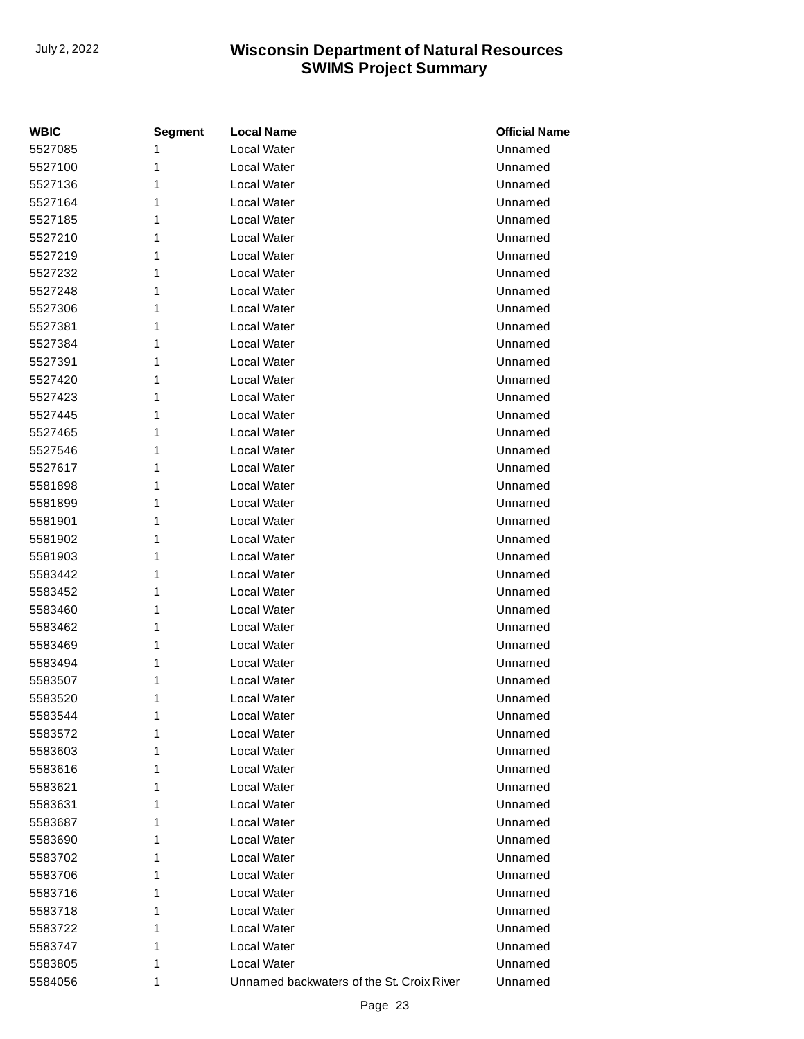| <b>WBIC</b> | <b>Segment</b> | <b>Local Name</b>                         | <b>Official Name</b> |
|-------------|----------------|-------------------------------------------|----------------------|
| 5527085     | 1              | Local Water                               | Unnamed              |
| 5527100     | 1              | Local Water                               | Unnamed              |
| 5527136     | 1              | Local Water                               | Unnamed              |
| 5527164     | 1              | Local Water                               | Unnamed              |
| 5527185     | 1              | Local Water                               | Unnamed              |
| 5527210     | 1              | Local Water                               | Unnamed              |
| 5527219     | 1              | Local Water                               | Unnamed              |
| 5527232     | 1              | Local Water                               | Unnamed              |
| 5527248     | 1              | Local Water                               | Unnamed              |
| 5527306     | 1              | Local Water                               | Unnamed              |
| 5527381     | 1              | <b>Local Water</b>                        | Unnamed              |
| 5527384     | 1              | Local Water                               | Unnamed              |
| 5527391     | 1              | Local Water                               | Unnamed              |
| 5527420     | 1              | Local Water                               | Unnamed              |
| 5527423     | 1              | Local Water                               | Unnamed              |
| 5527445     | 1              | Local Water                               | Unnamed              |
| 5527465     | 1              | Local Water                               | Unnamed              |
| 5527546     | 1              | Local Water                               | Unnamed              |
| 5527617     | 1              | Local Water                               | Unnamed              |
| 5581898     | 1              | Local Water                               | Unnamed              |
| 5581899     | 1              | Local Water                               | Unnamed              |
| 5581901     | 1              | Local Water                               | Unnamed              |
| 5581902     | 1              | Local Water                               | Unnamed              |
| 5581903     | 1              | Local Water                               | Unnamed              |
| 5583442     | 1              | Local Water                               | Unnamed              |
| 5583452     | 1              | Local Water                               | Unnamed              |
| 5583460     | 1              | Local Water                               | Unnamed              |
| 5583462     | 1              | Local Water                               | Unnamed              |
| 5583469     | 1              | Local Water                               | Unnamed              |
| 5583494     | 1              | Local Water                               | Unnamed              |
| 5583507     | 1              | Local Water                               | Unnamed              |
| 5583520     | 1              | Local Water                               | Unnamed              |
| 5583544     | 1              | Local Water                               | Unnamed              |
| 5583572     | 1              | Local Water                               | Unnamed              |
| 5583603     | 1              | Local Water                               | Unnamed              |
| 5583616     | 1              | Local Water                               | Unnamed              |
| 5583621     | 1              | Local Water                               | Unnamed              |
| 5583631     | 1              | Local Water                               | Unnamed              |
| 5583687     | 1              | Local Water                               | Unnamed              |
| 5583690     | 1              | Local Water                               | Unnamed              |
| 5583702     | 1              | Local Water                               | Unnamed              |
| 5583706     | 1              | Local Water                               | Unnamed              |
| 5583716     | 1              | Local Water                               | Unnamed              |
| 5583718     | 1              | Local Water                               | Unnamed              |
| 5583722     | 1              | Local Water                               | Unnamed              |
| 5583747     | 1              | Local Water                               | Unnamed              |
| 5583805     | 1              | Local Water                               | Unnamed              |
| 5584056     | 1              | Unnamed backwaters of the St. Croix River | Unnamed              |